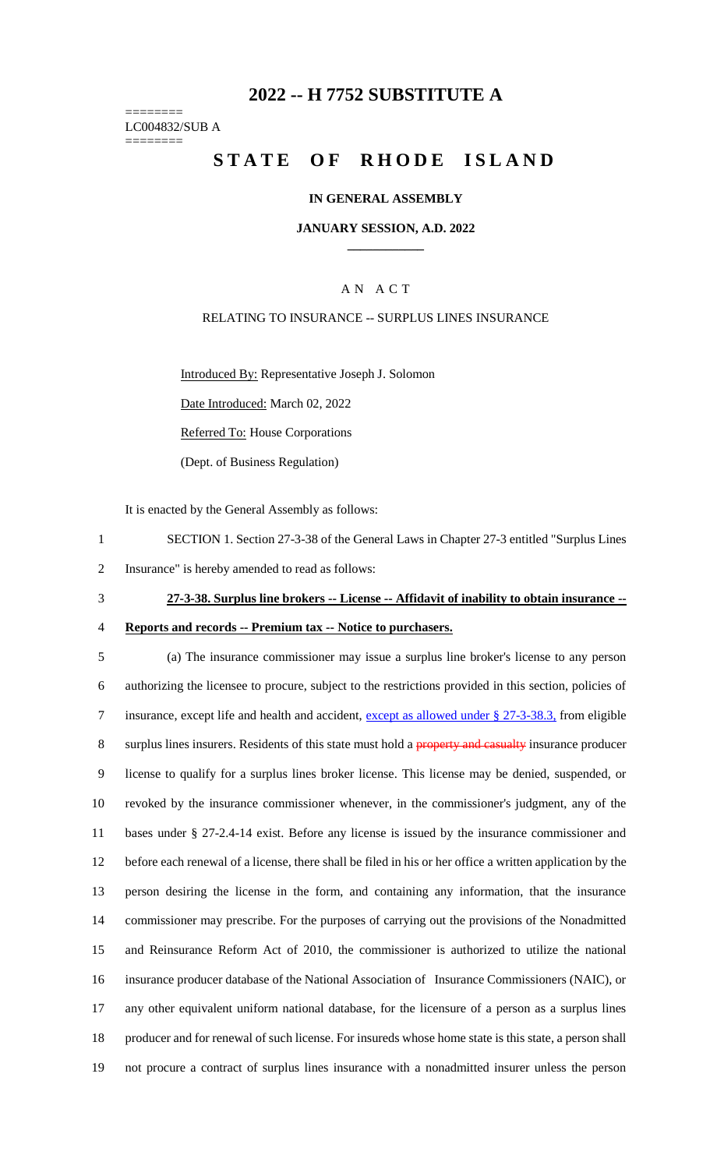## **2022 -- H 7752 SUBSTITUTE A**

======== LC004832/SUB A ========

## **STATE OF RHODE ISLAND**

### **IN GENERAL ASSEMBLY**

#### **JANUARY SESSION, A.D. 2022 \_\_\_\_\_\_\_\_\_\_\_\_**

## A N A C T

## RELATING TO INSURANCE -- SURPLUS LINES INSURANCE

Introduced By: Representative Joseph J. Solomon

Date Introduced: March 02, 2022

Referred To: House Corporations

(Dept. of Business Regulation)

It is enacted by the General Assembly as follows:

- 1 SECTION 1. Section 27-3-38 of the General Laws in Chapter 27-3 entitled "Surplus Lines
- 2 Insurance" is hereby amended to read as follows:
- 3 **27-3-38. Surplus line brokers -- License -- Affidavit of inability to obtain insurance --**
- 4 **Reports and records -- Premium tax -- Notice to purchasers.**
- 

 (a) The insurance commissioner may issue a surplus line broker's license to any person authorizing the licensee to procure, subject to the restrictions provided in this section, policies of insurance, except life and health and accident, except as allowed under § 27-3-38.3, from eligible 8 surplus lines insurers. Residents of this state must hold a property and casualty insurance producer license to qualify for a surplus lines broker license. This license may be denied, suspended, or revoked by the insurance commissioner whenever, in the commissioner's judgment, any of the bases under § 27-2.4-14 exist. Before any license is issued by the insurance commissioner and before each renewal of a license, there shall be filed in his or her office a written application by the person desiring the license in the form, and containing any information, that the insurance commissioner may prescribe. For the purposes of carrying out the provisions of the Nonadmitted and Reinsurance Reform Act of 2010, the commissioner is authorized to utilize the national insurance producer database of the National Association of Insurance Commissioners (NAIC), or any other equivalent uniform national database, for the licensure of a person as a surplus lines producer and for renewal of such license. For insureds whose home state is this state, a person shall not procure a contract of surplus lines insurance with a nonadmitted insurer unless the person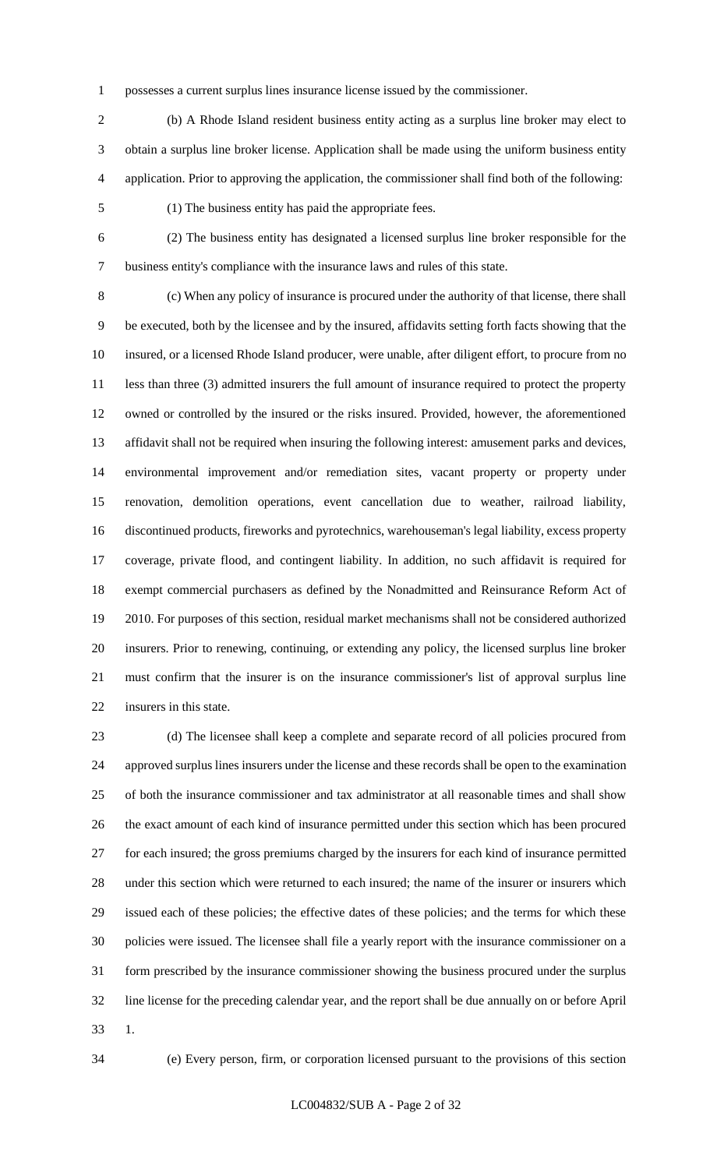possesses a current surplus lines insurance license issued by the commissioner.

 (b) A Rhode Island resident business entity acting as a surplus line broker may elect to obtain a surplus line broker license. Application shall be made using the uniform business entity application. Prior to approving the application, the commissioner shall find both of the following:

(1) The business entity has paid the appropriate fees.

 (2) The business entity has designated a licensed surplus line broker responsible for the business entity's compliance with the insurance laws and rules of this state.

 (c) When any policy of insurance is procured under the authority of that license, there shall be executed, both by the licensee and by the insured, affidavits setting forth facts showing that the insured, or a licensed Rhode Island producer, were unable, after diligent effort, to procure from no less than three (3) admitted insurers the full amount of insurance required to protect the property owned or controlled by the insured or the risks insured. Provided, however, the aforementioned affidavit shall not be required when insuring the following interest: amusement parks and devices, environmental improvement and/or remediation sites, vacant property or property under renovation, demolition operations, event cancellation due to weather, railroad liability, discontinued products, fireworks and pyrotechnics, warehouseman's legal liability, excess property coverage, private flood, and contingent liability. In addition, no such affidavit is required for exempt commercial purchasers as defined by the Nonadmitted and Reinsurance Reform Act of 2010. For purposes of this section, residual market mechanisms shall not be considered authorized insurers. Prior to renewing, continuing, or extending any policy, the licensed surplus line broker must confirm that the insurer is on the insurance commissioner's list of approval surplus line insurers in this state.

 (d) The licensee shall keep a complete and separate record of all policies procured from approved surplus lines insurers under the license and these records shall be open to the examination of both the insurance commissioner and tax administrator at all reasonable times and shall show the exact amount of each kind of insurance permitted under this section which has been procured for each insured; the gross premiums charged by the insurers for each kind of insurance permitted under this section which were returned to each insured; the name of the insurer or insurers which issued each of these policies; the effective dates of these policies; and the terms for which these policies were issued. The licensee shall file a yearly report with the insurance commissioner on a form prescribed by the insurance commissioner showing the business procured under the surplus line license for the preceding calendar year, and the report shall be due annually on or before April 1.

(e) Every person, firm, or corporation licensed pursuant to the provisions of this section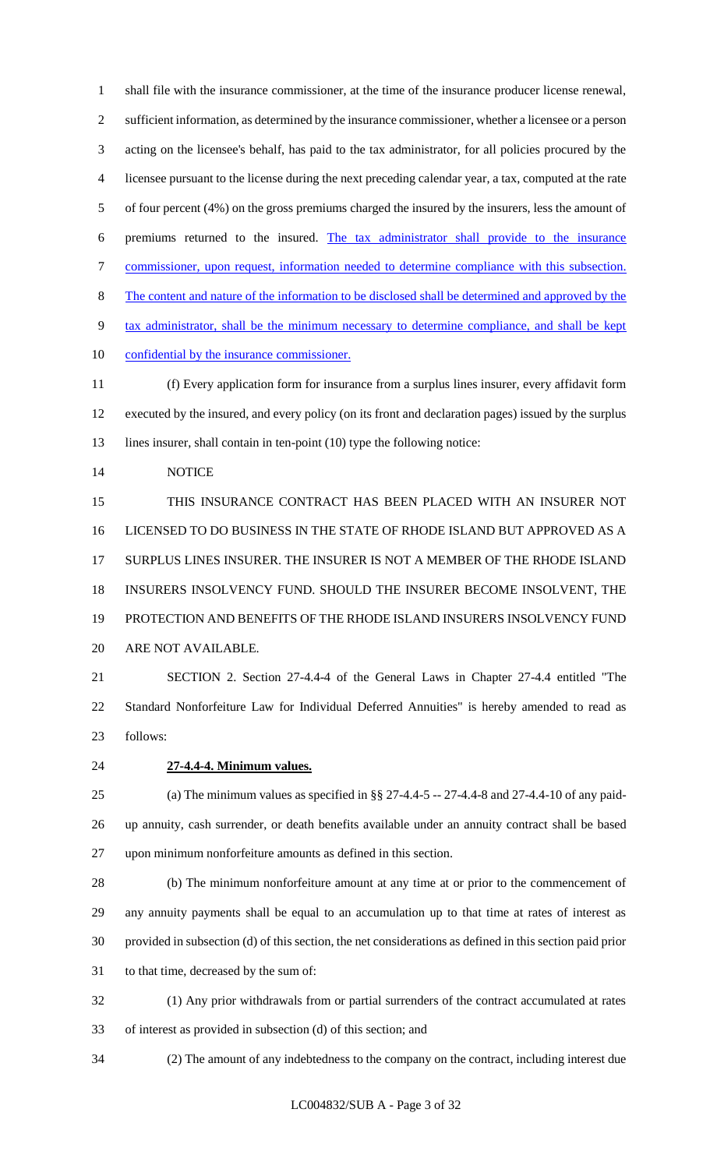shall file with the insurance commissioner, at the time of the insurance producer license renewal, sufficient information, as determined by the insurance commissioner, whether a licensee or a person acting on the licensee's behalf, has paid to the tax administrator, for all policies procured by the licensee pursuant to the license during the next preceding calendar year, a tax, computed at the rate of four percent (4%) on the gross premiums charged the insured by the insurers, less the amount of premiums returned to the insured. The tax administrator shall provide to the insurance commissioner, upon request, information needed to determine compliance with this subsection. The content and nature of the information to be disclosed shall be determined and approved by the tax administrator, shall be the minimum necessary to determine compliance, and shall be kept confidential by the insurance commissioner.

 (f) Every application form for insurance from a surplus lines insurer, every affidavit form executed by the insured, and every policy (on its front and declaration pages) issued by the surplus 13 lines insurer, shall contain in ten-point (10) type the following notice:

NOTICE

 THIS INSURANCE CONTRACT HAS BEEN PLACED WITH AN INSURER NOT LICENSED TO DO BUSINESS IN THE STATE OF RHODE ISLAND BUT APPROVED AS A SURPLUS LINES INSURER. THE INSURER IS NOT A MEMBER OF THE RHODE ISLAND INSURERS INSOLVENCY FUND. SHOULD THE INSURER BECOME INSOLVENT, THE PROTECTION AND BENEFITS OF THE RHODE ISLAND INSURERS INSOLVENCY FUND ARE NOT AVAILABLE.

 SECTION 2. Section 27-4.4-4 of the General Laws in Chapter 27-4.4 entitled "The Standard Nonforfeiture Law for Individual Deferred Annuities" is hereby amended to read as follows:

## **27-4.4-4. Minimum values.**

 (a) The minimum values as specified in §§ 27-4.4-5 -- 27-4.4-8 and 27-4.4-10 of any paid- up annuity, cash surrender, or death benefits available under an annuity contract shall be based upon minimum nonforfeiture amounts as defined in this section.

 (b) The minimum nonforfeiture amount at any time at or prior to the commencement of any annuity payments shall be equal to an accumulation up to that time at rates of interest as provided in subsection (d) of this section, the net considerations as defined in this section paid prior to that time, decreased by the sum of:

 (1) Any prior withdrawals from or partial surrenders of the contract accumulated at rates of interest as provided in subsection (d) of this section; and

(2) The amount of any indebtedness to the company on the contract, including interest due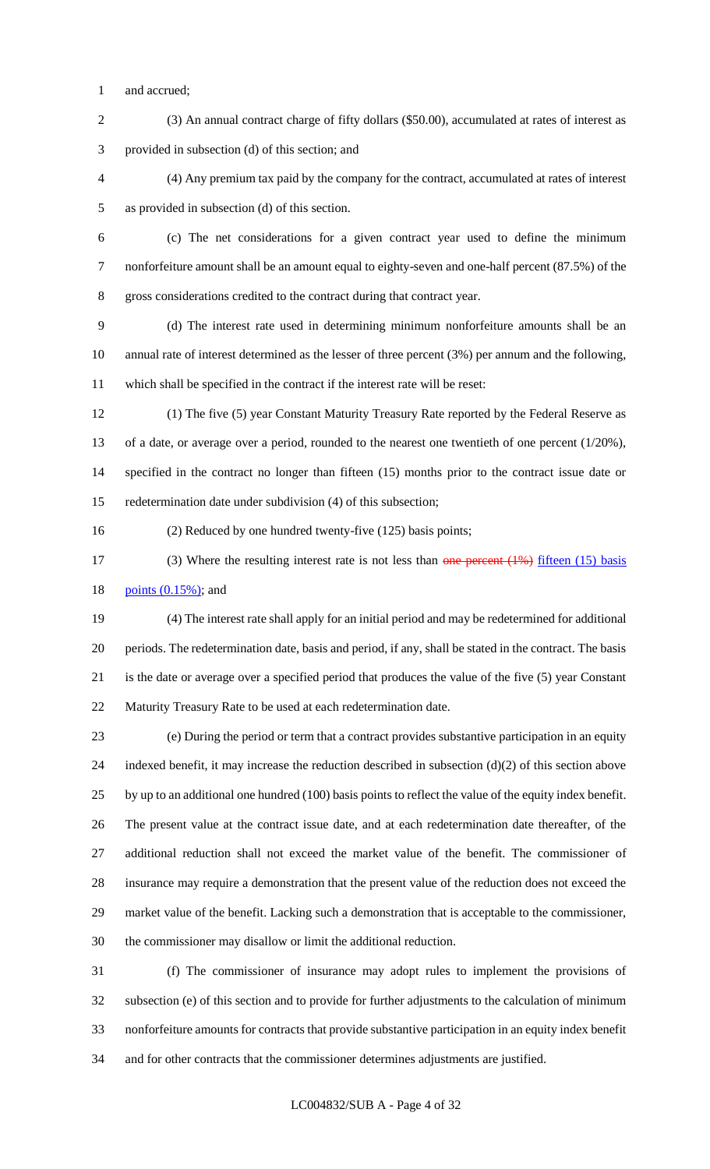- and accrued;
- (3) An annual contract charge of fifty dollars (\$50.00), accumulated at rates of interest as provided in subsection (d) of this section; and

 (4) Any premium tax paid by the company for the contract, accumulated at rates of interest as provided in subsection (d) of this section.

 (c) The net considerations for a given contract year used to define the minimum nonforfeiture amount shall be an amount equal to eighty-seven and one-half percent (87.5%) of the gross considerations credited to the contract during that contract year.

 (d) The interest rate used in determining minimum nonforfeiture amounts shall be an annual rate of interest determined as the lesser of three percent (3%) per annum and the following, which shall be specified in the contract if the interest rate will be reset:

 (1) The five (5) year Constant Maturity Treasury Rate reported by the Federal Reserve as 13 of a date, or average over a period, rounded to the nearest one twentieth of one percent (1/20%), specified in the contract no longer than fifteen (15) months prior to the contract issue date or redetermination date under subdivision (4) of this subsection;

(2) Reduced by one hundred twenty-five (125) basis points;

17 (3) Where the resulting interest rate is not less than one percent (1%) fifteen (15) basis 18 <u>points (0.15%)</u>; and

 (4) The interest rate shall apply for an initial period and may be redetermined for additional periods. The redetermination date, basis and period, if any, shall be stated in the contract. The basis is the date or average over a specified period that produces the value of the five (5) year Constant Maturity Treasury Rate to be used at each redetermination date.

 (e) During the period or term that a contract provides substantive participation in an equity indexed benefit, it may increase the reduction described in subsection (d)(2) of this section above by up to an additional one hundred (100) basis points to reflect the value of the equity index benefit. The present value at the contract issue date, and at each redetermination date thereafter, of the additional reduction shall not exceed the market value of the benefit. The commissioner of insurance may require a demonstration that the present value of the reduction does not exceed the market value of the benefit. Lacking such a demonstration that is acceptable to the commissioner, the commissioner may disallow or limit the additional reduction.

 (f) The commissioner of insurance may adopt rules to implement the provisions of subsection (e) of this section and to provide for further adjustments to the calculation of minimum nonforfeiture amounts for contracts that provide substantive participation in an equity index benefit and for other contracts that the commissioner determines adjustments are justified.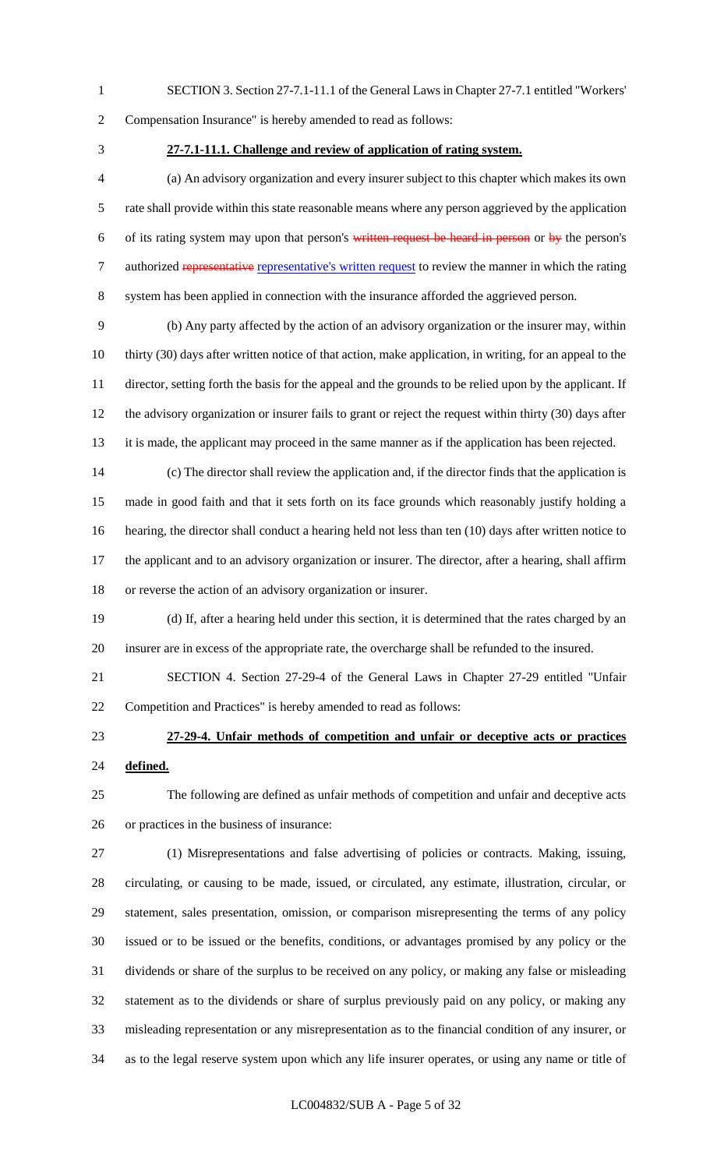- SECTION 3. Section 27-7.1-11.1 of the General Laws in Chapter 27-7.1 entitled "Workers'
- 

Compensation Insurance" is hereby amended to read as follows:

## **27-7.1-11.1. Challenge and review of application of rating system.**

 (a) An advisory organization and every insurer subject to this chapter which makes its own rate shall provide within this state reasonable means where any person aggrieved by the application 6 of its rating system may upon that person's written request be heard in person or by the person's 7 authorized representative representative's written request to review the manner in which the rating system has been applied in connection with the insurance afforded the aggrieved person.

 (b) Any party affected by the action of an advisory organization or the insurer may, within thirty (30) days after written notice of that action, make application, in writing, for an appeal to the director, setting forth the basis for the appeal and the grounds to be relied upon by the applicant. If the advisory organization or insurer fails to grant or reject the request within thirty (30) days after it is made, the applicant may proceed in the same manner as if the application has been rejected.

 (c) The director shall review the application and, if the director finds that the application is made in good faith and that it sets forth on its face grounds which reasonably justify holding a hearing, the director shall conduct a hearing held not less than ten (10) days after written notice to the applicant and to an advisory organization or insurer. The director, after a hearing, shall affirm or reverse the action of an advisory organization or insurer.

 (d) If, after a hearing held under this section, it is determined that the rates charged by an insurer are in excess of the appropriate rate, the overcharge shall be refunded to the insured.

 SECTION 4. Section 27-29-4 of the General Laws in Chapter 27-29 entitled "Unfair Competition and Practices" is hereby amended to read as follows:

# **27-29-4. Unfair methods of competition and unfair or deceptive acts or practices defined.**

 The following are defined as unfair methods of competition and unfair and deceptive acts or practices in the business of insurance:

 (1) Misrepresentations and false advertising of policies or contracts. Making, issuing, circulating, or causing to be made, issued, or circulated, any estimate, illustration, circular, or statement, sales presentation, omission, or comparison misrepresenting the terms of any policy issued or to be issued or the benefits, conditions, or advantages promised by any policy or the dividends or share of the surplus to be received on any policy, or making any false or misleading statement as to the dividends or share of surplus previously paid on any policy, or making any misleading representation or any misrepresentation as to the financial condition of any insurer, or as to the legal reserve system upon which any life insurer operates, or using any name or title of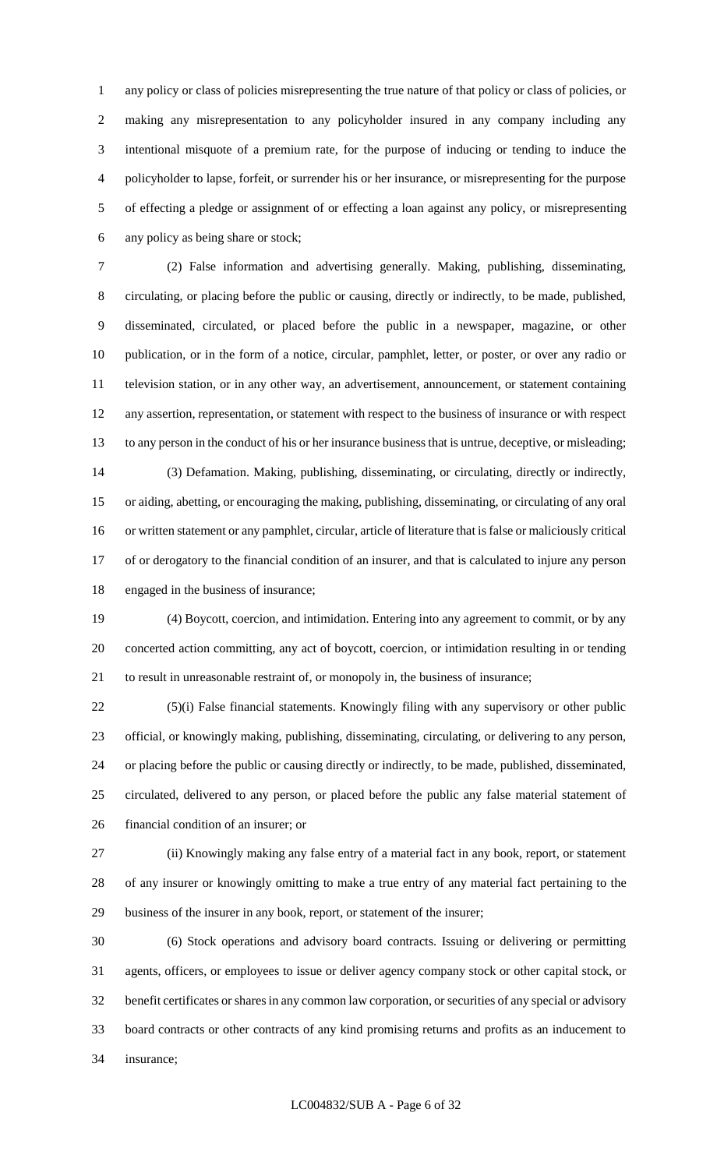any policy or class of policies misrepresenting the true nature of that policy or class of policies, or making any misrepresentation to any policyholder insured in any company including any intentional misquote of a premium rate, for the purpose of inducing or tending to induce the policyholder to lapse, forfeit, or surrender his or her insurance, or misrepresenting for the purpose of effecting a pledge or assignment of or effecting a loan against any policy, or misrepresenting any policy as being share or stock;

 (2) False information and advertising generally. Making, publishing, disseminating, circulating, or placing before the public or causing, directly or indirectly, to be made, published, disseminated, circulated, or placed before the public in a newspaper, magazine, or other publication, or in the form of a notice, circular, pamphlet, letter, or poster, or over any radio or television station, or in any other way, an advertisement, announcement, or statement containing any assertion, representation, or statement with respect to the business of insurance or with respect to any person in the conduct of his or her insurance business that is untrue, deceptive, or misleading; (3) Defamation. Making, publishing, disseminating, or circulating, directly or indirectly, or aiding, abetting, or encouraging the making, publishing, disseminating, or circulating of any oral or written statement or any pamphlet, circular, article of literature that is false or maliciously critical of or derogatory to the financial condition of an insurer, and that is calculated to injure any person

engaged in the business of insurance;

 (4) Boycott, coercion, and intimidation. Entering into any agreement to commit, or by any concerted action committing, any act of boycott, coercion, or intimidation resulting in or tending to result in unreasonable restraint of, or monopoly in, the business of insurance;

 (5)(i) False financial statements. Knowingly filing with any supervisory or other public official, or knowingly making, publishing, disseminating, circulating, or delivering to any person, or placing before the public or causing directly or indirectly, to be made, published, disseminated, circulated, delivered to any person, or placed before the public any false material statement of financial condition of an insurer; or

 (ii) Knowingly making any false entry of a material fact in any book, report, or statement of any insurer or knowingly omitting to make a true entry of any material fact pertaining to the business of the insurer in any book, report, or statement of the insurer;

 (6) Stock operations and advisory board contracts. Issuing or delivering or permitting agents, officers, or employees to issue or deliver agency company stock or other capital stock, or benefit certificates or shares in any common law corporation, or securities of any special or advisory board contracts or other contracts of any kind promising returns and profits as an inducement to insurance;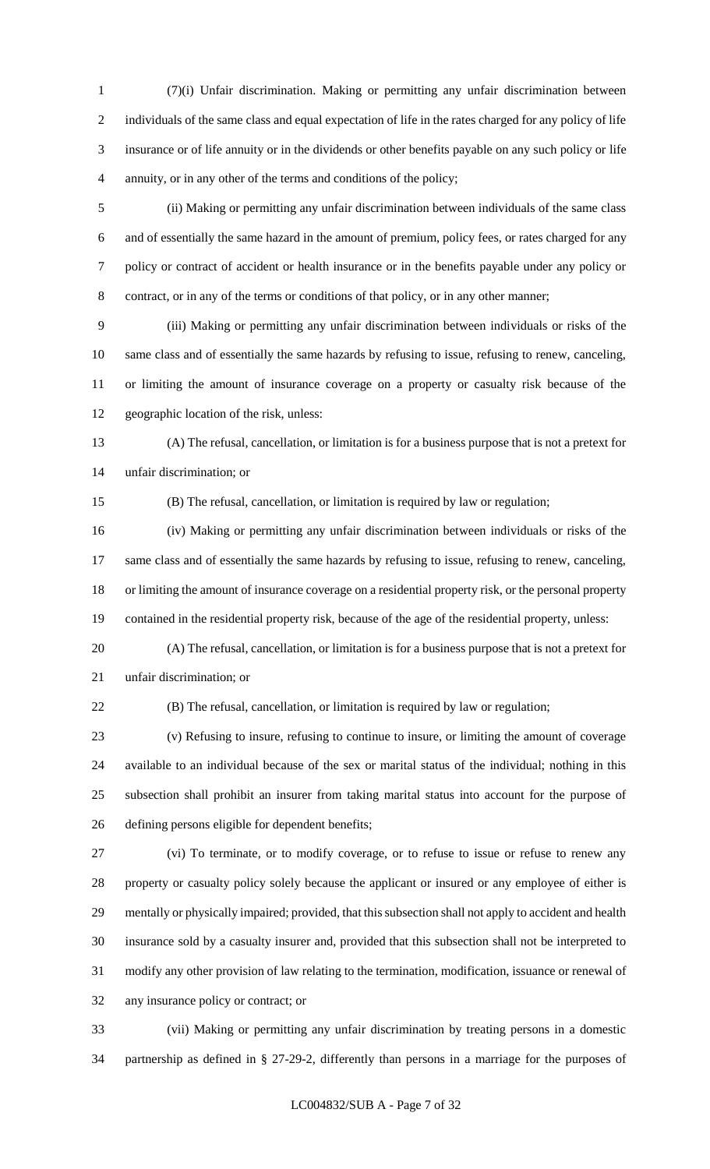(7)(i) Unfair discrimination. Making or permitting any unfair discrimination between individuals of the same class and equal expectation of life in the rates charged for any policy of life insurance or of life annuity or in the dividends or other benefits payable on any such policy or life annuity, or in any other of the terms and conditions of the policy;

 (ii) Making or permitting any unfair discrimination between individuals of the same class and of essentially the same hazard in the amount of premium, policy fees, or rates charged for any policy or contract of accident or health insurance or in the benefits payable under any policy or contract, or in any of the terms or conditions of that policy, or in any other manner;

 (iii) Making or permitting any unfair discrimination between individuals or risks of the same class and of essentially the same hazards by refusing to issue, refusing to renew, canceling, or limiting the amount of insurance coverage on a property or casualty risk because of the geographic location of the risk, unless:

 (A) The refusal, cancellation, or limitation is for a business purpose that is not a pretext for unfair discrimination; or

(B) The refusal, cancellation, or limitation is required by law or regulation;

 (iv) Making or permitting any unfair discrimination between individuals or risks of the same class and of essentially the same hazards by refusing to issue, refusing to renew, canceling, or limiting the amount of insurance coverage on a residential property risk, or the personal property contained in the residential property risk, because of the age of the residential property, unless:

 (A) The refusal, cancellation, or limitation is for a business purpose that is not a pretext for unfair discrimination; or

(B) The refusal, cancellation, or limitation is required by law or regulation;

 (v) Refusing to insure, refusing to continue to insure, or limiting the amount of coverage available to an individual because of the sex or marital status of the individual; nothing in this subsection shall prohibit an insurer from taking marital status into account for the purpose of defining persons eligible for dependent benefits;

 (vi) To terminate, or to modify coverage, or to refuse to issue or refuse to renew any property or casualty policy solely because the applicant or insured or any employee of either is mentally or physically impaired; provided, that this subsection shall not apply to accident and health insurance sold by a casualty insurer and, provided that this subsection shall not be interpreted to modify any other provision of law relating to the termination, modification, issuance or renewal of any insurance policy or contract; or

 (vii) Making or permitting any unfair discrimination by treating persons in a domestic partnership as defined in § 27-29-2, differently than persons in a marriage for the purposes of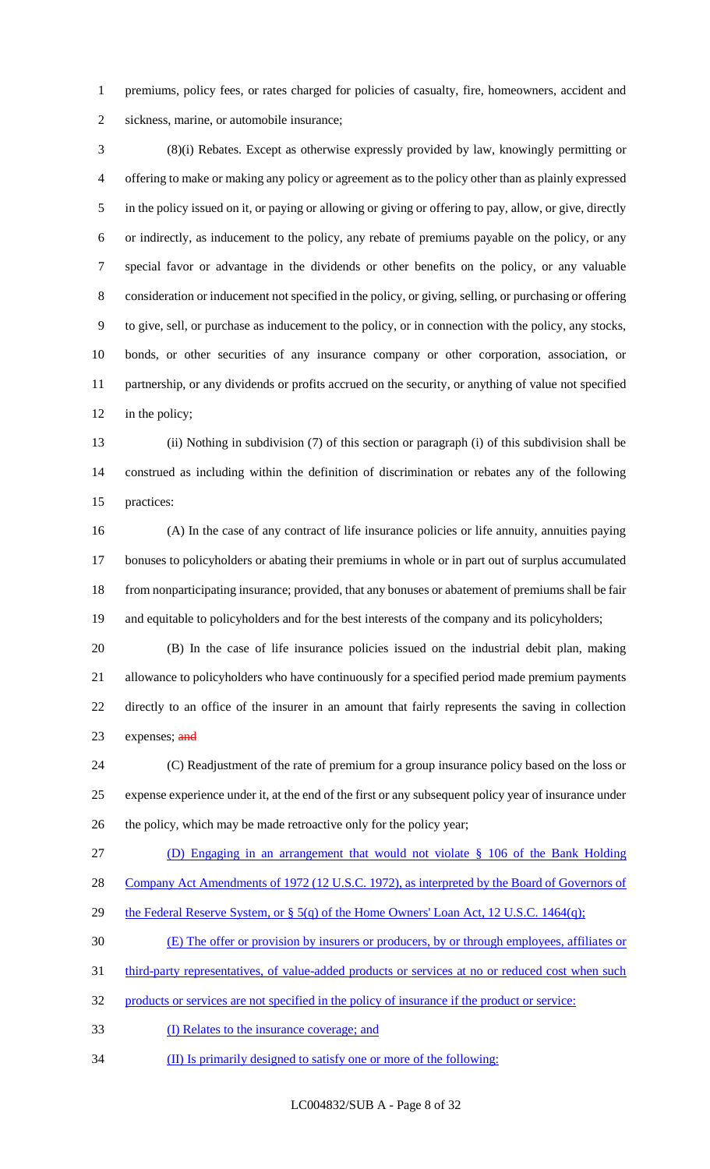premiums, policy fees, or rates charged for policies of casualty, fire, homeowners, accident and sickness, marine, or automobile insurance;

 (8)(i) Rebates. Except as otherwise expressly provided by law, knowingly permitting or offering to make or making any policy or agreement as to the policy other than as plainly expressed in the policy issued on it, or paying or allowing or giving or offering to pay, allow, or give, directly or indirectly, as inducement to the policy, any rebate of premiums payable on the policy, or any special favor or advantage in the dividends or other benefits on the policy, or any valuable consideration or inducement not specified in the policy, or giving, selling, or purchasing or offering to give, sell, or purchase as inducement to the policy, or in connection with the policy, any stocks, bonds, or other securities of any insurance company or other corporation, association, or partnership, or any dividends or profits accrued on the security, or anything of value not specified 12 in the policy;

 (ii) Nothing in subdivision (7) of this section or paragraph (i) of this subdivision shall be construed as including within the definition of discrimination or rebates any of the following practices:

 (A) In the case of any contract of life insurance policies or life annuity, annuities paying bonuses to policyholders or abating their premiums in whole or in part out of surplus accumulated from nonparticipating insurance; provided, that any bonuses or abatement of premiums shall be fair 19 and equitable to policyholders and for the best interests of the company and its policyholders;

 (B) In the case of life insurance policies issued on the industrial debit plan, making allowance to policyholders who have continuously for a specified period made premium payments directly to an office of the insurer in an amount that fairly represents the saving in collection 23 expenses;  $\frac{and}{end}$ 

 (C) Readjustment of the rate of premium for a group insurance policy based on the loss or expense experience under it, at the end of the first or any subsequent policy year of insurance under the policy, which may be made retroactive only for the policy year;

(D) Engaging in an arrangement that would not violate § 106 of the Bank Holding

28 Company Act Amendments of 1972 (12 U.S.C. 1972), as interpreted by the Board of Governors of

- 29 the Federal Reserve System, or § 5(q) of the Home Owners' Loan Act, 12 U.S.C. 1464(q);
- (E) The offer or provision by insurers or producers, by or through employees, affiliates or
- 31 third-party representatives, of value-added products or services at no or reduced cost when such
- products or services are not specified in the policy of insurance if the product or service:
- (I) Relates to the insurance coverage; and
- (II) Is primarily designed to satisfy one or more of the following:

LC004832/SUB A - Page 8 of 32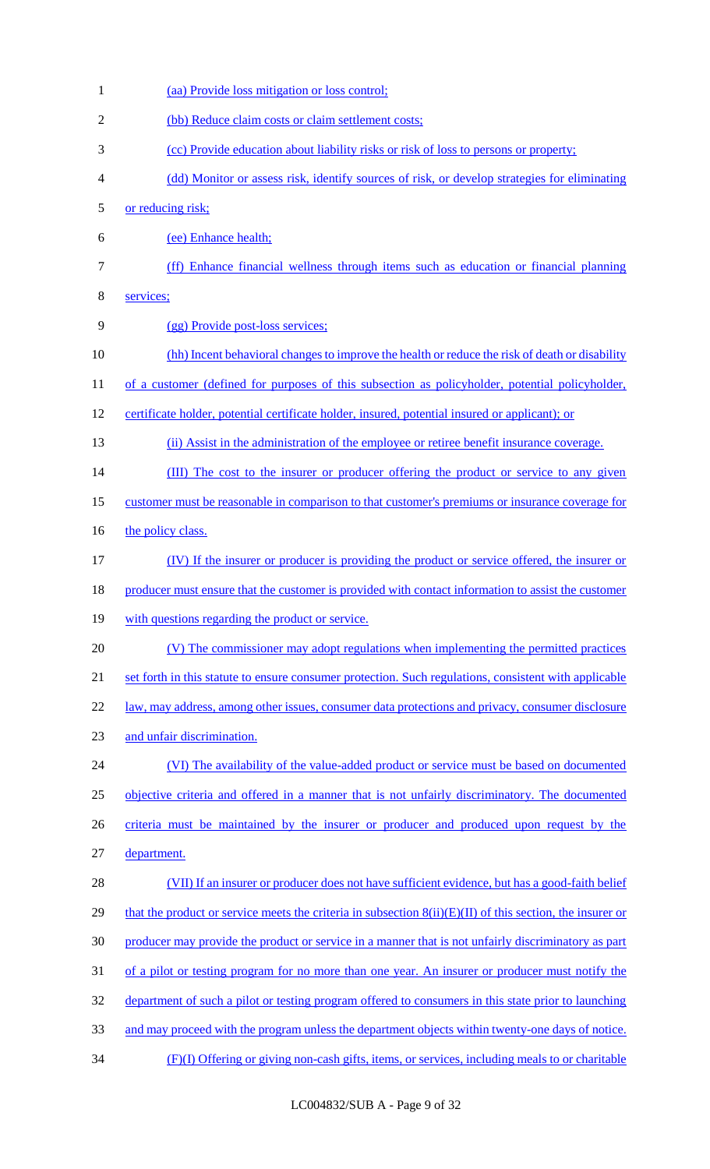(aa) Provide loss mitigation or loss control; (bb) Reduce claim costs or claim settlement costs; (cc) Provide education about liability risks or risk of loss to persons or property; (dd) Monitor or assess risk, identify sources of risk, or develop strategies for eliminating or reducing risk; (ee) Enhance health; (ff) Enhance financial wellness through items such as education or financial planning services; (gg) Provide post-loss services; 10 (hh) Incent behavioral changes to improve the health or reduce the risk of death or disability 11 of a customer (defined for purposes of this subsection as policyholder, potential policyholder, 12 certificate holder, potential certificate holder, insured, potential insured or applicant); or (ii) Assist in the administration of the employee or retiree benefit insurance coverage. 14 (III) The cost to the insurer or producer offering the product or service to any given customer must be reasonable in comparison to that customer's premiums or insurance coverage for 16 the policy class. (IV) If the insurer or producer is providing the product or service offered, the insurer or 18 producer must ensure that the customer is provided with contact information to assist the customer with questions regarding the product or service. (V) The commissioner may adopt regulations when implementing the permitted practices set forth in this statute to ensure consumer protection. Such regulations, consistent with applicable 22 law, may address, among other issues, consumer data protections and privacy, consumer disclosure and unfair discrimination. (VI) The availability of the value-added product or service must be based on documented objective criteria and offered in a manner that is not unfairly discriminatory. The documented criteria must be maintained by the insurer or producer and produced upon request by the department. (VII) If an insurer or producer does not have sufficient evidence, but has a good-faith belief 29 that the product or service meets the criteria in subsection  $8(ii)(E)(II)$  of this section, the insurer or producer may provide the product or service in a manner that is not unfairly discriminatory as part 31 of a pilot or testing program for no more than one year. An insurer or producer must notify the 32 department of such a pilot or testing program offered to consumers in this state prior to launching and may proceed with the program unless the department objects within twenty-one days of notice. (F)(I) Offering or giving non-cash gifts, items, or services, including meals to or charitable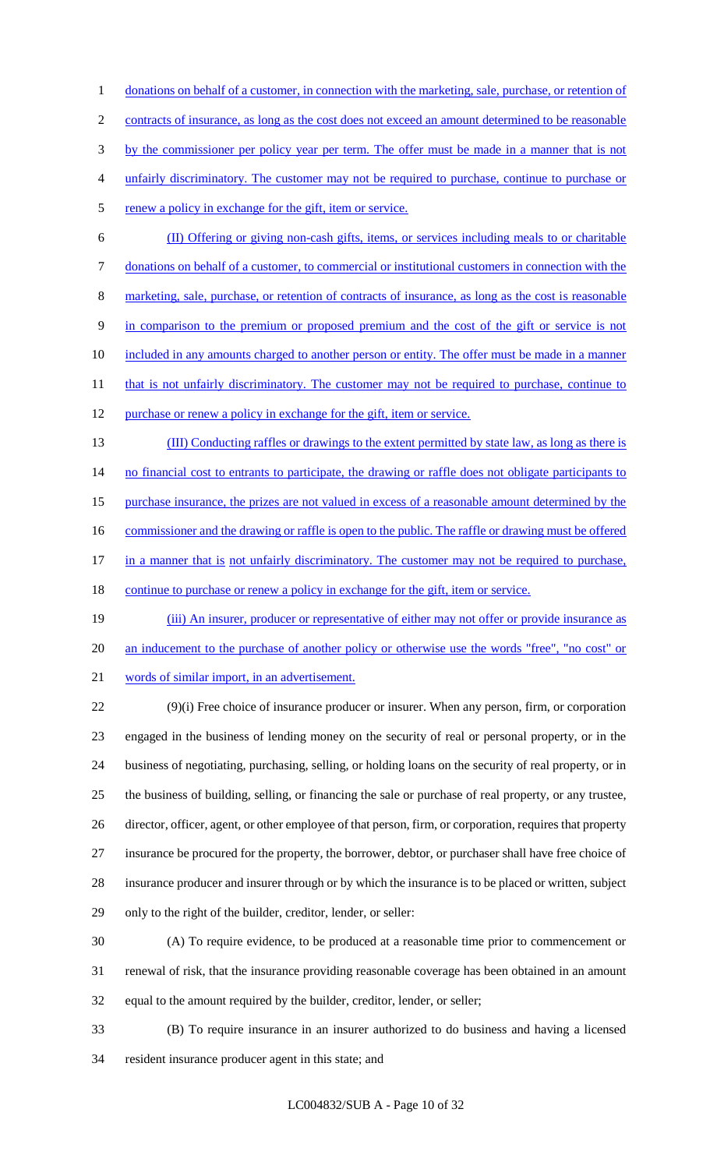donations on behalf of a customer, in connection with the marketing, sale, purchase, or retention of contracts of insurance, as long as the cost does not exceed an amount determined to be reasonable 3 by the commissioner per policy year per term. The offer must be made in a manner that is not unfairly discriminatory. The customer may not be required to purchase, continue to purchase or 5 renew a policy in exchange for the gift, item or service.

 (II) Offering or giving non-cash gifts, items, or services including meals to or charitable donations on behalf of a customer, to commercial or institutional customers in connection with the marketing, sale, purchase, or retention of contracts of insurance, as long as the cost is reasonable in comparison to the premium or proposed premium and the cost of the gift or service is not 10 included in any amounts charged to another person or entity. The offer must be made in a manner 11 that is not unfairly discriminatory. The customer may not be required to purchase, continue to 12 purchase or renew a policy in exchange for the gift, item or service.

- (III) Conducting raffles or drawings to the extent permitted by state law, as long as there is 14 no financial cost to entrants to participate, the drawing or raffle does not obligate participants to 15 purchase insurance, the prizes are not valued in excess of a reasonable amount determined by the 16 commissioner and the drawing or raffle is open to the public. The raffle or drawing must be offered 17 in a manner that is not unfairly discriminatory. The customer may not be required to purchase, 18 continue to purchase or renew a policy in exchange for the gift, item or service.
- (iii) An insurer, producer or representative of either may not offer or provide insurance as 20 an inducement to the purchase of another policy or otherwise use the words "free", "no cost" or words of similar import, in an advertisement.

 (9)(i) Free choice of insurance producer or insurer. When any person, firm, or corporation engaged in the business of lending money on the security of real or personal property, or in the business of negotiating, purchasing, selling, or holding loans on the security of real property, or in the business of building, selling, or financing the sale or purchase of real property, or any trustee, 26 director, officer, agent, or other employee of that person, firm, or corporation, requires that property insurance be procured for the property, the borrower, debtor, or purchaser shall have free choice of insurance producer and insurer through or by which the insurance is to be placed or written, subject only to the right of the builder, creditor, lender, or seller:

- (A) To require evidence, to be produced at a reasonable time prior to commencement or renewal of risk, that the insurance providing reasonable coverage has been obtained in an amount equal to the amount required by the builder, creditor, lender, or seller;
- (B) To require insurance in an insurer authorized to do business and having a licensed resident insurance producer agent in this state; and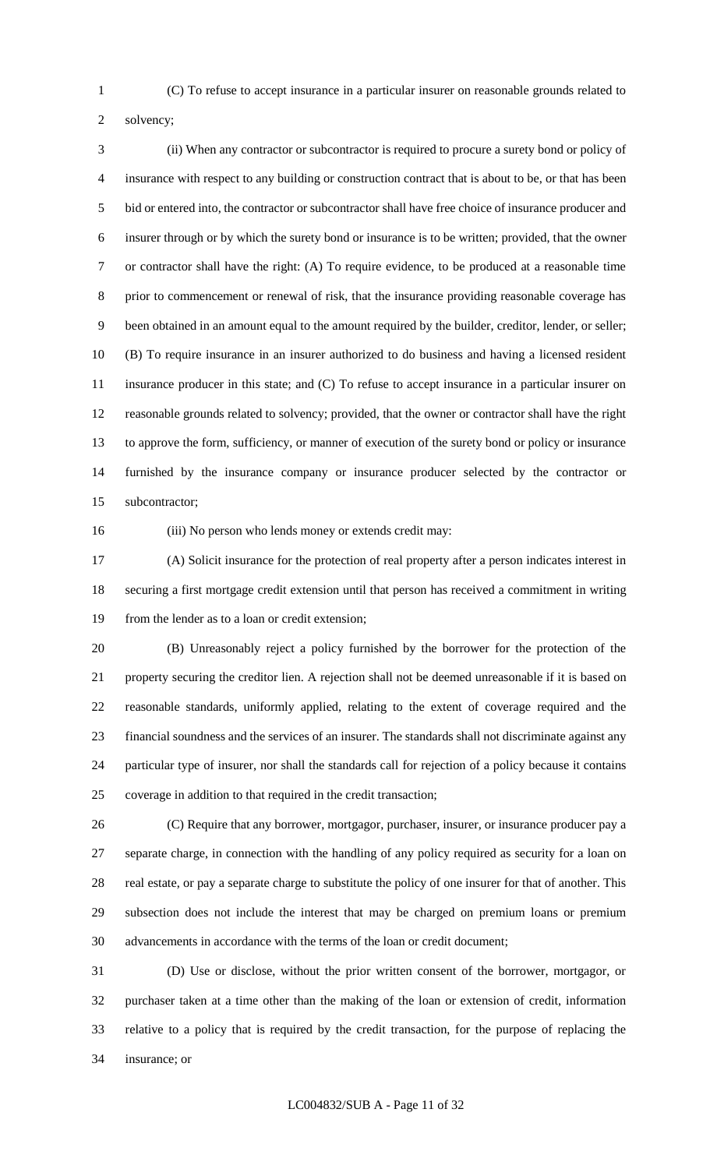(C) To refuse to accept insurance in a particular insurer on reasonable grounds related to

solvency;

 (ii) When any contractor or subcontractor is required to procure a surety bond or policy of insurance with respect to any building or construction contract that is about to be, or that has been bid or entered into, the contractor or subcontractor shall have free choice of insurance producer and insurer through or by which the surety bond or insurance is to be written; provided, that the owner or contractor shall have the right: (A) To require evidence, to be produced at a reasonable time prior to commencement or renewal of risk, that the insurance providing reasonable coverage has been obtained in an amount equal to the amount required by the builder, creditor, lender, or seller; (B) To require insurance in an insurer authorized to do business and having a licensed resident insurance producer in this state; and (C) To refuse to accept insurance in a particular insurer on reasonable grounds related to solvency; provided, that the owner or contractor shall have the right to approve the form, sufficiency, or manner of execution of the surety bond or policy or insurance furnished by the insurance company or insurance producer selected by the contractor or subcontractor;

(iii) No person who lends money or extends credit may:

 (A) Solicit insurance for the protection of real property after a person indicates interest in securing a first mortgage credit extension until that person has received a commitment in writing from the lender as to a loan or credit extension;

 (B) Unreasonably reject a policy furnished by the borrower for the protection of the property securing the creditor lien. A rejection shall not be deemed unreasonable if it is based on reasonable standards, uniformly applied, relating to the extent of coverage required and the financial soundness and the services of an insurer. The standards shall not discriminate against any particular type of insurer, nor shall the standards call for rejection of a policy because it contains coverage in addition to that required in the credit transaction;

 (C) Require that any borrower, mortgagor, purchaser, insurer, or insurance producer pay a separate charge, in connection with the handling of any policy required as security for a loan on real estate, or pay a separate charge to substitute the policy of one insurer for that of another. This subsection does not include the interest that may be charged on premium loans or premium advancements in accordance with the terms of the loan or credit document;

 (D) Use or disclose, without the prior written consent of the borrower, mortgagor, or purchaser taken at a time other than the making of the loan or extension of credit, information relative to a policy that is required by the credit transaction, for the purpose of replacing the insurance; or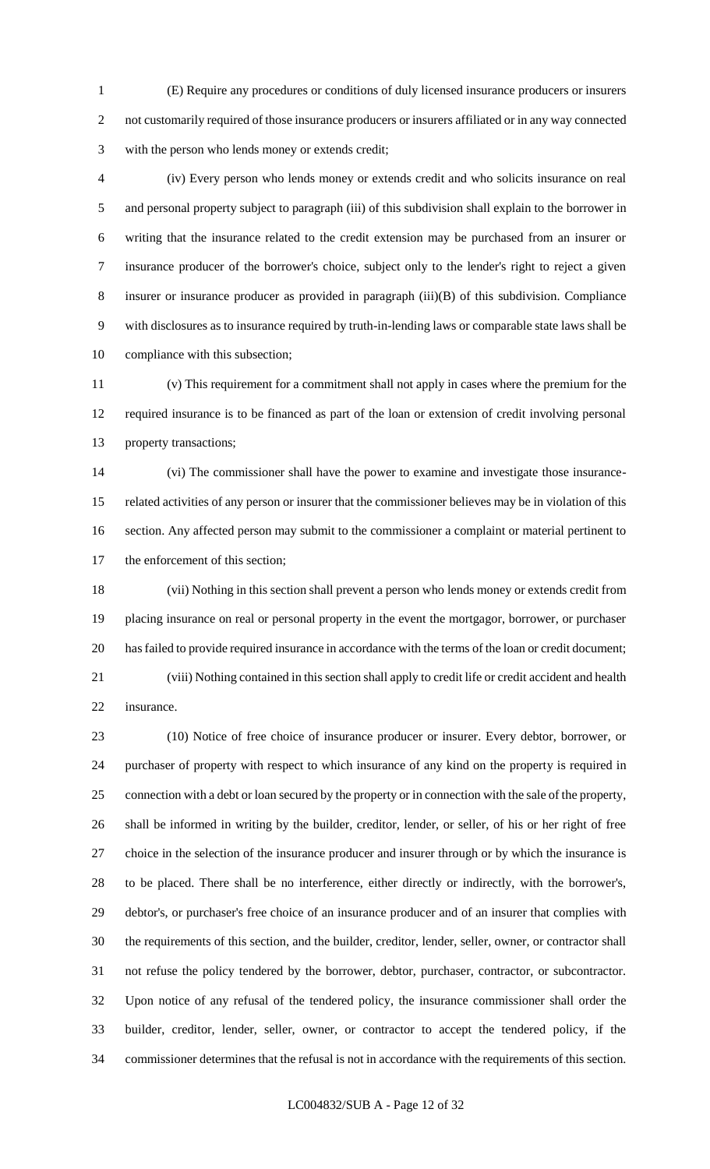(E) Require any procedures or conditions of duly licensed insurance producers or insurers not customarily required of those insurance producers or insurers affiliated or in any way connected with the person who lends money or extends credit;

 (iv) Every person who lends money or extends credit and who solicits insurance on real and personal property subject to paragraph (iii) of this subdivision shall explain to the borrower in writing that the insurance related to the credit extension may be purchased from an insurer or insurance producer of the borrower's choice, subject only to the lender's right to reject a given insurer or insurance producer as provided in paragraph (iii)(B) of this subdivision. Compliance with disclosures as to insurance required by truth-in-lending laws or comparable state laws shall be compliance with this subsection;

 (v) This requirement for a commitment shall not apply in cases where the premium for the required insurance is to be financed as part of the loan or extension of credit involving personal property transactions;

 (vi) The commissioner shall have the power to examine and investigate those insurance- related activities of any person or insurer that the commissioner believes may be in violation of this section. Any affected person may submit to the commissioner a complaint or material pertinent to the enforcement of this section;

 (vii) Nothing in this section shall prevent a person who lends money or extends credit from placing insurance on real or personal property in the event the mortgagor, borrower, or purchaser has failed to provide required insurance in accordance with the terms of the loan or credit document; (viii) Nothing contained in this section shall apply to credit life or credit accident and health

insurance.

 (10) Notice of free choice of insurance producer or insurer. Every debtor, borrower, or purchaser of property with respect to which insurance of any kind on the property is required in connection with a debt or loan secured by the property or in connection with the sale of the property, shall be informed in writing by the builder, creditor, lender, or seller, of his or her right of free choice in the selection of the insurance producer and insurer through or by which the insurance is to be placed. There shall be no interference, either directly or indirectly, with the borrower's, debtor's, or purchaser's free choice of an insurance producer and of an insurer that complies with the requirements of this section, and the builder, creditor, lender, seller, owner, or contractor shall not refuse the policy tendered by the borrower, debtor, purchaser, contractor, or subcontractor. Upon notice of any refusal of the tendered policy, the insurance commissioner shall order the builder, creditor, lender, seller, owner, or contractor to accept the tendered policy, if the commissioner determines that the refusal is not in accordance with the requirements of this section.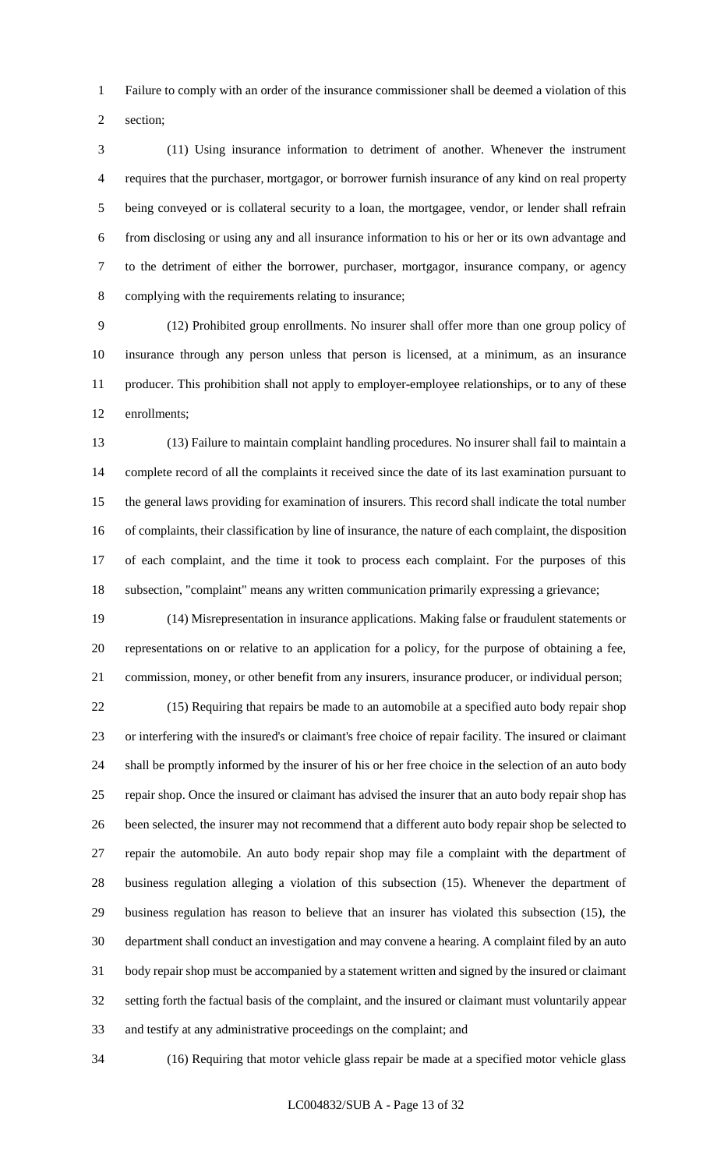Failure to comply with an order of the insurance commissioner shall be deemed a violation of this

section;

 (11) Using insurance information to detriment of another. Whenever the instrument requires that the purchaser, mortgagor, or borrower furnish insurance of any kind on real property being conveyed or is collateral security to a loan, the mortgagee, vendor, or lender shall refrain from disclosing or using any and all insurance information to his or her or its own advantage and to the detriment of either the borrower, purchaser, mortgagor, insurance company, or agency complying with the requirements relating to insurance;

 (12) Prohibited group enrollments. No insurer shall offer more than one group policy of insurance through any person unless that person is licensed, at a minimum, as an insurance producer. This prohibition shall not apply to employer-employee relationships, or to any of these enrollments;

 (13) Failure to maintain complaint handling procedures. No insurer shall fail to maintain a complete record of all the complaints it received since the date of its last examination pursuant to the general laws providing for examination of insurers. This record shall indicate the total number of complaints, their classification by line of insurance, the nature of each complaint, the disposition of each complaint, and the time it took to process each complaint. For the purposes of this subsection, "complaint" means any written communication primarily expressing a grievance;

 (14) Misrepresentation in insurance applications. Making false or fraudulent statements or representations on or relative to an application for a policy, for the purpose of obtaining a fee, commission, money, or other benefit from any insurers, insurance producer, or individual person;

 (15) Requiring that repairs be made to an automobile at a specified auto body repair shop or interfering with the insured's or claimant's free choice of repair facility. The insured or claimant shall be promptly informed by the insurer of his or her free choice in the selection of an auto body repair shop. Once the insured or claimant has advised the insurer that an auto body repair shop has been selected, the insurer may not recommend that a different auto body repair shop be selected to repair the automobile. An auto body repair shop may file a complaint with the department of business regulation alleging a violation of this subsection (15). Whenever the department of business regulation has reason to believe that an insurer has violated this subsection (15), the department shall conduct an investigation and may convene a hearing. A complaint filed by an auto body repair shop must be accompanied by a statement written and signed by the insured or claimant setting forth the factual basis of the complaint, and the insured or claimant must voluntarily appear and testify at any administrative proceedings on the complaint; and

(16) Requiring that motor vehicle glass repair be made at a specified motor vehicle glass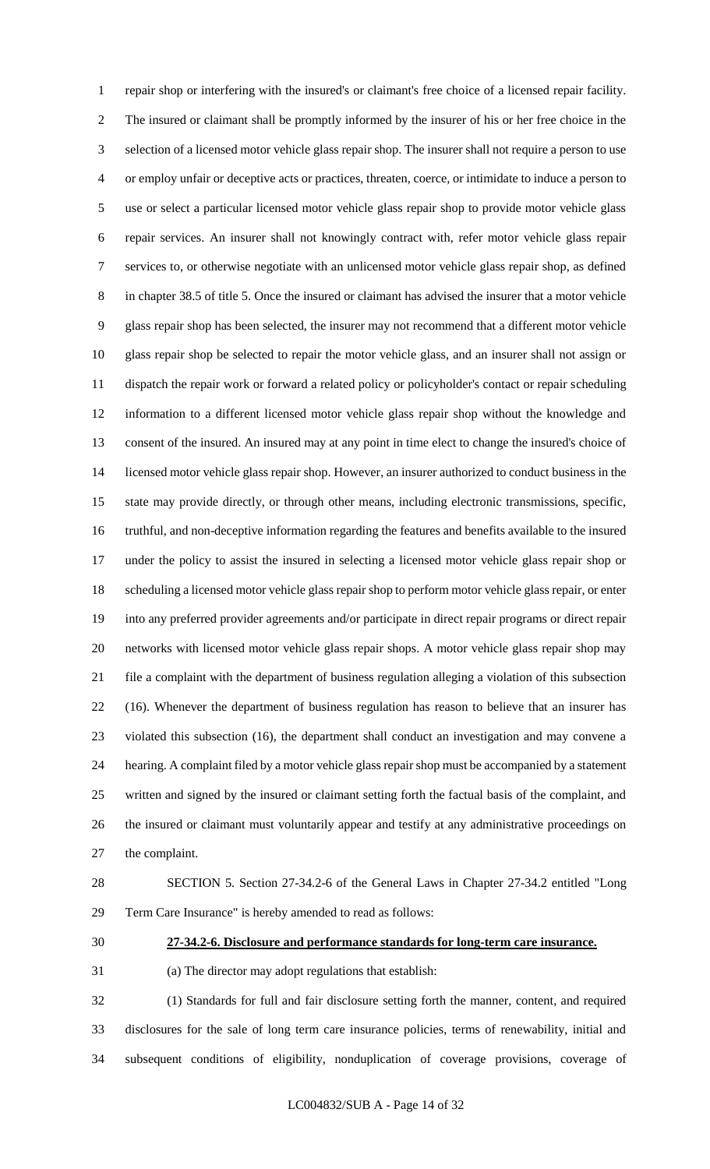repair shop or interfering with the insured's or claimant's free choice of a licensed repair facility. The insured or claimant shall be promptly informed by the insurer of his or her free choice in the selection of a licensed motor vehicle glass repair shop. The insurer shall not require a person to use or employ unfair or deceptive acts or practices, threaten, coerce, or intimidate to induce a person to use or select a particular licensed motor vehicle glass repair shop to provide motor vehicle glass repair services. An insurer shall not knowingly contract with, refer motor vehicle glass repair services to, or otherwise negotiate with an unlicensed motor vehicle glass repair shop, as defined in chapter 38.5 of title 5. Once the insured or claimant has advised the insurer that a motor vehicle glass repair shop has been selected, the insurer may not recommend that a different motor vehicle glass repair shop be selected to repair the motor vehicle glass, and an insurer shall not assign or dispatch the repair work or forward a related policy or policyholder's contact or repair scheduling information to a different licensed motor vehicle glass repair shop without the knowledge and consent of the insured. An insured may at any point in time elect to change the insured's choice of licensed motor vehicle glass repair shop. However, an insurer authorized to conduct business in the state may provide directly, or through other means, including electronic transmissions, specific, truthful, and non-deceptive information regarding the features and benefits available to the insured under the policy to assist the insured in selecting a licensed motor vehicle glass repair shop or scheduling a licensed motor vehicle glass repair shop to perform motor vehicle glass repair, or enter into any preferred provider agreements and/or participate in direct repair programs or direct repair networks with licensed motor vehicle glass repair shops. A motor vehicle glass repair shop may file a complaint with the department of business regulation alleging a violation of this subsection (16). Whenever the department of business regulation has reason to believe that an insurer has violated this subsection (16), the department shall conduct an investigation and may convene a hearing. A complaint filed by a motor vehicle glass repair shop must be accompanied by a statement written and signed by the insured or claimant setting forth the factual basis of the complaint, and the insured or claimant must voluntarily appear and testify at any administrative proceedings on the complaint.

 SECTION 5. Section 27-34.2-6 of the General Laws in Chapter 27-34.2 entitled "Long Term Care Insurance" is hereby amended to read as follows:

#### **27-34.2-6. Disclosure and performance standards for long-term care insurance.**

(a) The director may adopt regulations that establish:

 (1) Standards for full and fair disclosure setting forth the manner, content, and required disclosures for the sale of long term care insurance policies, terms of renewability, initial and subsequent conditions of eligibility, nonduplication of coverage provisions, coverage of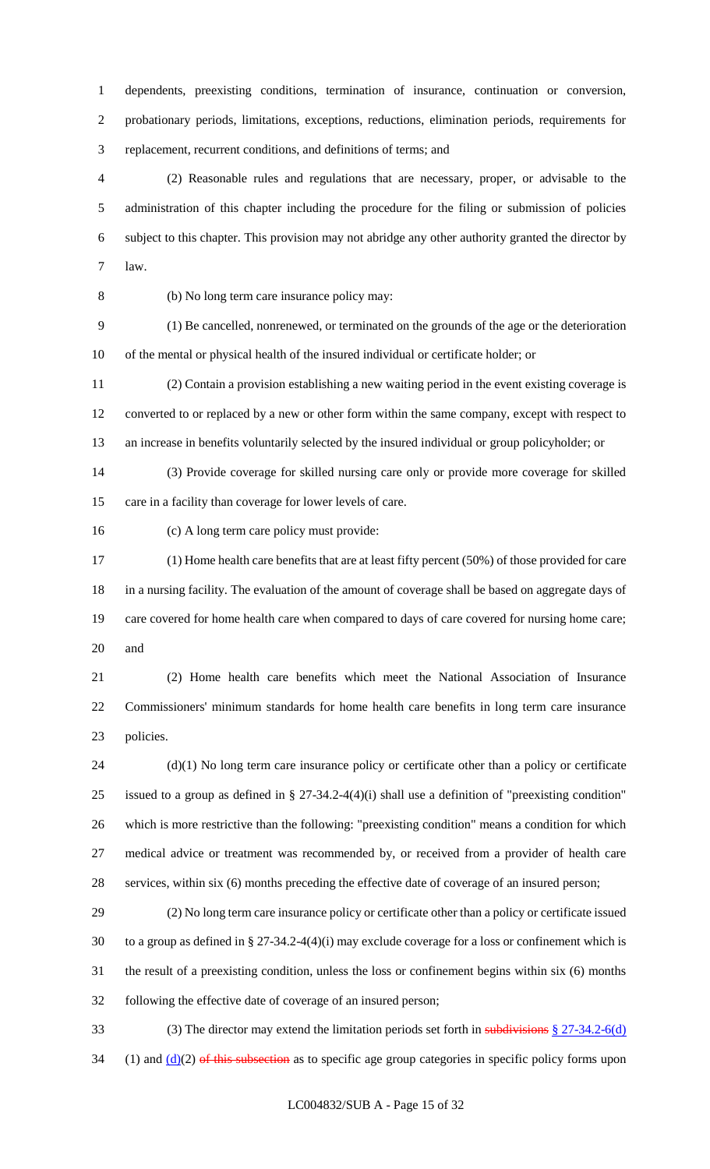dependents, preexisting conditions, termination of insurance, continuation or conversion, probationary periods, limitations, exceptions, reductions, elimination periods, requirements for replacement, recurrent conditions, and definitions of terms; and

 (2) Reasonable rules and regulations that are necessary, proper, or advisable to the administration of this chapter including the procedure for the filing or submission of policies subject to this chapter. This provision may not abridge any other authority granted the director by law.

(b) No long term care insurance policy may:

 (1) Be cancelled, nonrenewed, or terminated on the grounds of the age or the deterioration of the mental or physical health of the insured individual or certificate holder; or

 (2) Contain a provision establishing a new waiting period in the event existing coverage is converted to or replaced by a new or other form within the same company, except with respect to an increase in benefits voluntarily selected by the insured individual or group policyholder; or

 (3) Provide coverage for skilled nursing care only or provide more coverage for skilled care in a facility than coverage for lower levels of care.

(c) A long term care policy must provide:

 (1) Home health care benefits that are at least fifty percent (50%) of those provided for care in a nursing facility. The evaluation of the amount of coverage shall be based on aggregate days of 19 care covered for home health care when compared to days of care covered for nursing home care; and

 (2) Home health care benefits which meet the National Association of Insurance Commissioners' minimum standards for home health care benefits in long term care insurance policies.

 (d)(1) No long term care insurance policy or certificate other than a policy or certificate issued to a group as defined in § 27-34.2-4(4)(i) shall use a definition of "preexisting condition" which is more restrictive than the following: "preexisting condition" means a condition for which medical advice or treatment was recommended by, or received from a provider of health care services, within six (6) months preceding the effective date of coverage of an insured person;

 (2) No long term care insurance policy or certificate other than a policy or certificate issued to a group as defined in § 27-34.2-4(4)(i) may exclude coverage for a loss or confinement which is the result of a preexisting condition, unless the loss or confinement begins within six (6) months following the effective date of coverage of an insured person;

 (3) The director may extend the limitation periods set forth in subdivisions § 27-34.2-6(d) 34 (1) and  $(d)(2)$  of this subsection as to specific age group categories in specific policy forms upon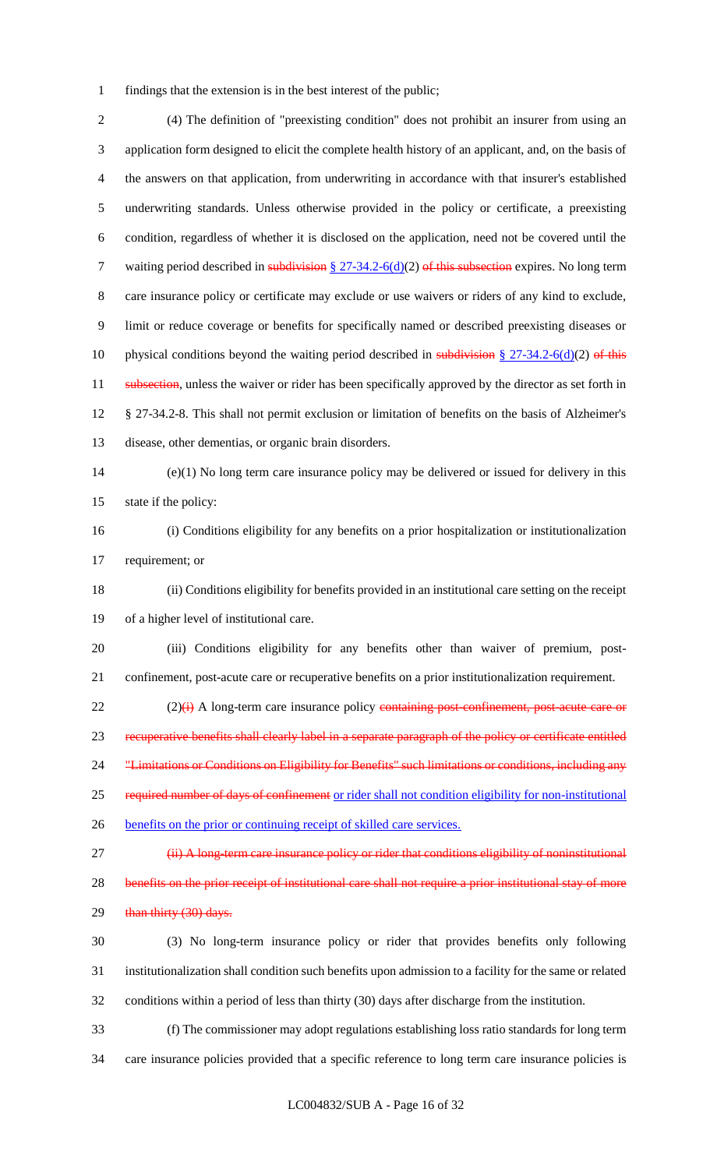findings that the extension is in the best interest of the public;

 (4) The definition of "preexisting condition" does not prohibit an insurer from using an application form designed to elicit the complete health history of an applicant, and, on the basis of the answers on that application, from underwriting in accordance with that insurer's established underwriting standards. Unless otherwise provided in the policy or certificate, a preexisting condition, regardless of whether it is disclosed on the application, need not be covered until the 7 waiting period described in subdivision  $\S 27-34.2-6(d)(2)$  of this subsection expires. No long term care insurance policy or certificate may exclude or use waivers or riders of any kind to exclude, limit or reduce coverage or benefits for specifically named or described preexisting diseases or 10 physical conditions beyond the waiting period described in subdivision  $\S 27-34.2-6(d)(2)$  of this 11 subsection, unless the waiver or rider has been specifically approved by the director as set forth in § 27-34.2-8. This shall not permit exclusion or limitation of benefits on the basis of Alzheimer's disease, other dementias, or organic brain disorders. (e)(1) No long term care insurance policy may be delivered or issued for delivery in this state if the policy: (i) Conditions eligibility for any benefits on a prior hospitalization or institutionalization requirement; or (ii) Conditions eligibility for benefits provided in an institutional care setting on the receipt of a higher level of institutional care. (iii) Conditions eligibility for any benefits other than waiver of premium, post- confinement, post-acute care or recuperative benefits on a prior institutionalization requirement. 22 (2)(i) A long-term care insurance policy containing post-confinement, post-acute care or recuperative benefits shall clearly label in a separate paragraph of the policy or certificate entitled 24 "Limitations or Conditions on Eligibility for Benefits" such limitations or conditions, including any required number of days of confinement or rider shall not condition eligibility for non-institutional benefits on the prior or continuing receipt of skilled care services. 27 (ii) A long-term care insurance policy or rider that conditions eligibility of noninstitutional 28 benefits on the prior receipt of institutional care shall not require a prior institutional stay of more 29 than thirty (30) days. (3) No long-term insurance policy or rider that provides benefits only following

 institutionalization shall condition such benefits upon admission to a facility for the same or related conditions within a period of less than thirty (30) days after discharge from the institution.

 (f) The commissioner may adopt regulations establishing loss ratio standards for long term care insurance policies provided that a specific reference to long term care insurance policies is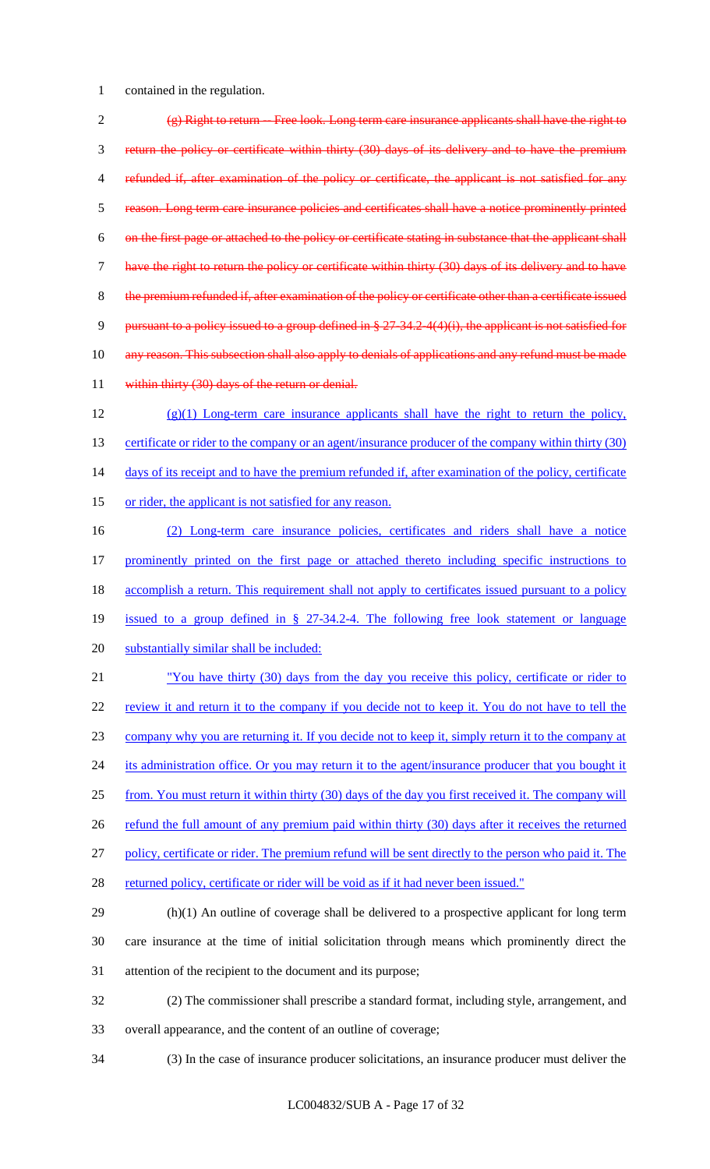1 contained in the regulation.

 $\frac{1}{2}$  (g) Right to return -- Free look. Long term care insurance applicants shall have the right to 3 return the policy or certificate within thirty (30) days of its delivery and to have the premium 4 refunded if, after examination of the policy or certificate, the applicant is not satisfied for any 5 reason. Long term care insurance policies and certificates shall have a notice prominently printed 6 on the first page or attached to the policy or certificate stating in substance that the applicant shall 7 have the right to return the policy or certificate within thirty (30) days of its delivery and to have 8 the premium refunded if, after examination of the policy or certificate other than a certificate issued 9 pursuant to a policy issued to a group defined in § 27-34.2-4(4)(i), the applicant is not satisfied for 10 any reason. This subsection shall also apply to denials of applications and any refund must be made 11 within thirty (30) days of the return or denial. 12 (g)(1) Long-term care insurance applicants shall have the right to return the policy, 13 certificate or rider to the company or an agent/insurance producer of the company within thirty (30) 14 days of its receipt and to have the premium refunded if, after examination of the policy, certificate 15 or rider, the applicant is not satisfied for any reason. 16 (2) Long-term care insurance policies, certificates and riders shall have a notice

17 prominently printed on the first page or attached thereto including specific instructions to 18 accomplish a return. This requirement shall not apply to certificates issued pursuant to a policy

- 19 issued to a group defined in § 27-34.2-4. The following free look statement or language
- 20 substantially similar shall be included:

21 "You have thirty (30) days from the day you receive this policy, certificate or rider to 22 review it and return it to the company if you decide not to keep it. You do not have to tell the 23 company why you are returning it. If you decide not to keep it, simply return it to the company at 24 its administration office. Or you may return it to the agent/insurance producer that you bought it

25 from. You must return it within thirty (30) days of the day you first received it. The company will

26 refund the full amount of any premium paid within thirty (30) days after it receives the returned

- 27 policy, certificate or rider. The premium refund will be sent directly to the person who paid it. The
- 28 returned policy, certificate or rider will be void as if it had never been issued."

29 (h)(1) An outline of coverage shall be delivered to a prospective applicant for long term 30 care insurance at the time of initial solicitation through means which prominently direct the 31 attention of the recipient to the document and its purpose;

32 (2) The commissioner shall prescribe a standard format, including style, arrangement, and 33 overall appearance, and the content of an outline of coverage;

34 (3) In the case of insurance producer solicitations, an insurance producer must deliver the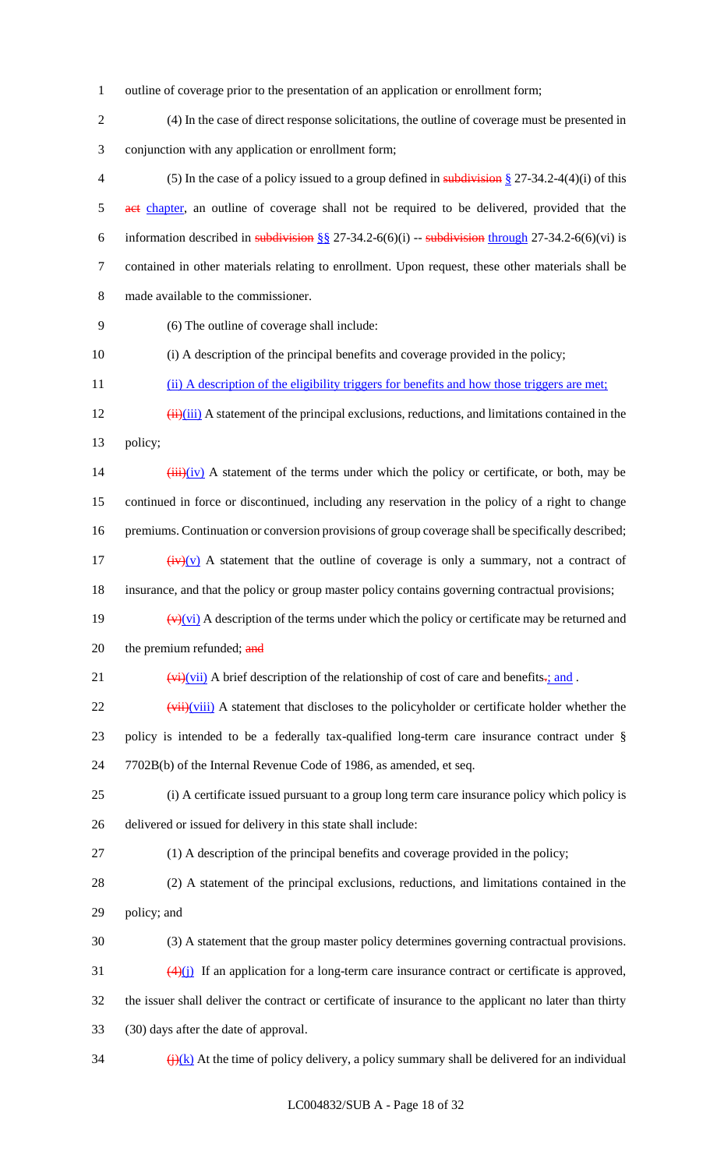outline of coverage prior to the presentation of an application or enrollment form;

(4) In the case of direct response solicitations, the outline of coverage must be presented in

conjunction with any application or enrollment form;

4 (5) In the case of a policy issued to a group defined in subdivision  $\S 27-34.2-4(4)(i)$  of this 5 act chapter, an outline of coverage shall not be required to be delivered, provided that the 6 information described in subdivision  $\S\S 27-34.2-6(6)(i)$  -- subdivision through 27-34.2-6(6)(vi) is contained in other materials relating to enrollment. Upon request, these other materials shall be made available to the commissioner.

(6) The outline of coverage shall include:

(i) A description of the principal benefits and coverage provided in the policy;

11 (ii) A description of the eligibility triggers for benefits and how those triggers are met;

 $\frac{12}{12}$  (ii)(iii) A statement of the principal exclusions, reductions, and limitations contained in the policy;

 (iii)(iv) A statement of the terms under which the policy or certificate, or both, may be continued in force or discontinued, including any reservation in the policy of a right to change 16 premiums. Continuation or conversion provisions of group coverage shall be specifically described;  $(iv)(v)$  A statement that the outline of coverage is only a summary, not a contract of

insurance, and that the policy or group master policy contains governing contractual provisions;

- 19  $(v)(vi)$  A description of the terms under which the policy or certificate may be returned and 20 the premium refunded; and
- 21  $(vi)(vii)$  A brief description of the relationship of cost of care and benefits.; and .

 ( $\overrightarrow{vii}$ )( $\overrightarrow{viii}$ ) A statement that discloses to the policyholder or certificate holder whether the policy is intended to be a federally tax-qualified long-term care insurance contract under § 7702B(b) of the Internal Revenue Code of 1986, as amended, et seq.

- (i) A certificate issued pursuant to a group long term care insurance policy which policy is delivered or issued for delivery in this state shall include:
- (1) A description of the principal benefits and coverage provided in the policy;
- (2) A statement of the principal exclusions, reductions, and limitations contained in the policy; and
- (3) A statement that the group master policy determines governing contractual provisions.
- (4)(j) If an application for a long-term care insurance contract or certificate is approved, the issuer shall deliver the contract or certificate of insurance to the applicant no later than thirty
- (30) days after the date of approval.
- $\frac{1}{2}$  (i)(k) At the time of policy delivery, a policy summary shall be delivered for an individual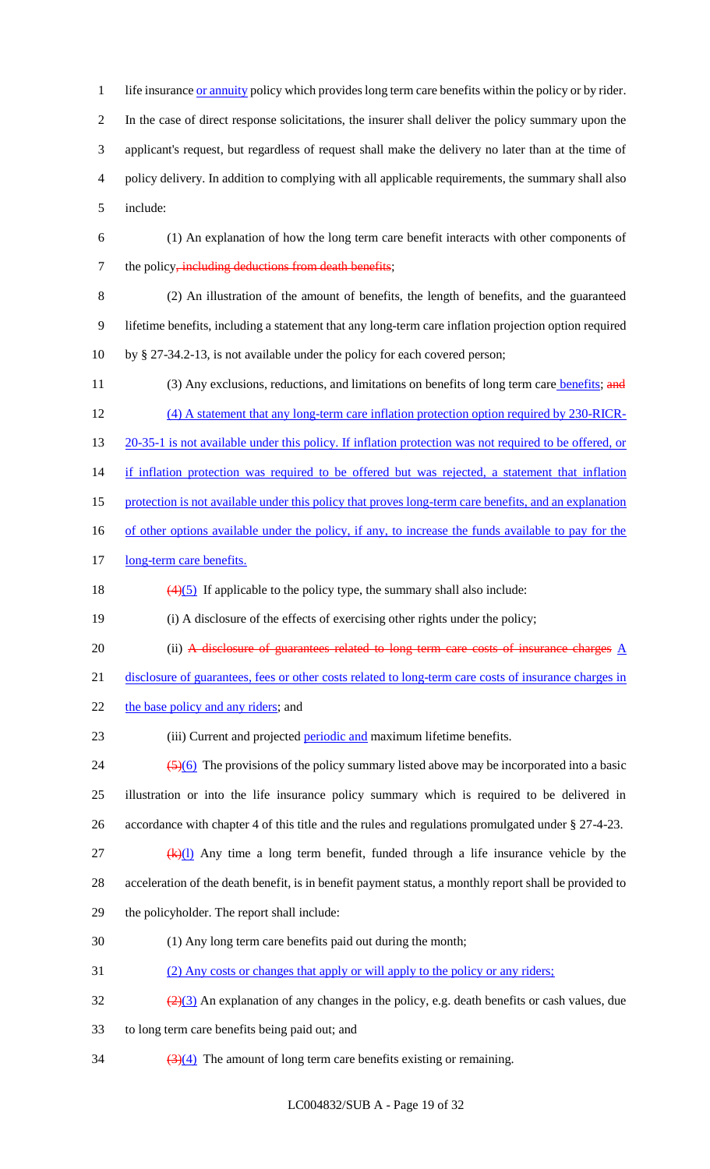1 life insurance or annuity policy which provides long term care benefits within the policy or by rider. 2 In the case of direct response solicitations, the insurer shall deliver the policy summary upon the 3 applicant's request, but regardless of request shall make the delivery no later than at the time of 4 policy delivery. In addition to complying with all applicable requirements, the summary shall also 5 include:

- 6 (1) An explanation of how the long term care benefit interacts with other components of 7 the policy, including deductions from death benefits;
- 

8 (2) An illustration of the amount of benefits, the length of benefits, and the guaranteed 9 lifetime benefits, including a statement that any long-term care inflation projection option required 10 by § 27-34.2-13, is not available under the policy for each covered person;

11 (3) Any exclusions, reductions, and limitations on benefits of long term care **benefits**; and 12 (4) A statement that any long-term care inflation protection option required by 230-RICR-13 20-35-1 is not available under this policy. If inflation protection was not required to be offered, or 14 if inflation protection was required to be offered but was rejected, a statement that inflation 15 protection is not available under this policy that proves long-term care benefits, and an explanation 16 of other options available under the policy, if any, to increase the funds available to pay for the 17 long-term care benefits.

18  $\left(\frac{4}{5}\right)$  If applicable to the policy type, the summary shall also include:

19 (i) A disclosure of the effects of exercising other rights under the policy;

20 (ii) A disclosure of guarantees related to long term care costs of insurance charges  $\underline{A}$ 

21 disclosure of guarantees, fees or other costs related to long-term care costs of insurance charges in

22 the base policy and any riders; and

23 (iii) Current and projected *periodic* and maximum lifetime benefits.

 $\frac{(5)(6)}{24}$  The provisions of the policy summary listed above may be incorporated into a basic 25 illustration or into the life insurance policy summary which is required to be delivered in 26 accordance with chapter 4 of this title and the rules and regulations promulgated under § 27-4-23.

 $\frac{dF}{dx}$  (k)(1) Any time a long term benefit, funded through a life insurance vehicle by the 28 acceleration of the death benefit, is in benefit payment status, a monthly report shall be provided to

- 29 the policyholder. The report shall include:
- 30 (1) Any long term care benefits paid out during the month;
- 31 (2) Any costs or changes that apply or will apply to the policy or any riders;
- $\frac{(2)(3)}{2}$  An explanation of any changes in the policy, e.g. death benefits or cash values, due
- 33 to long term care benefits being paid out; and
- $\frac{(3)(4)}{2}$  The amount of long term care benefits existing or remaining.

LC004832/SUB A - Page 19 of 32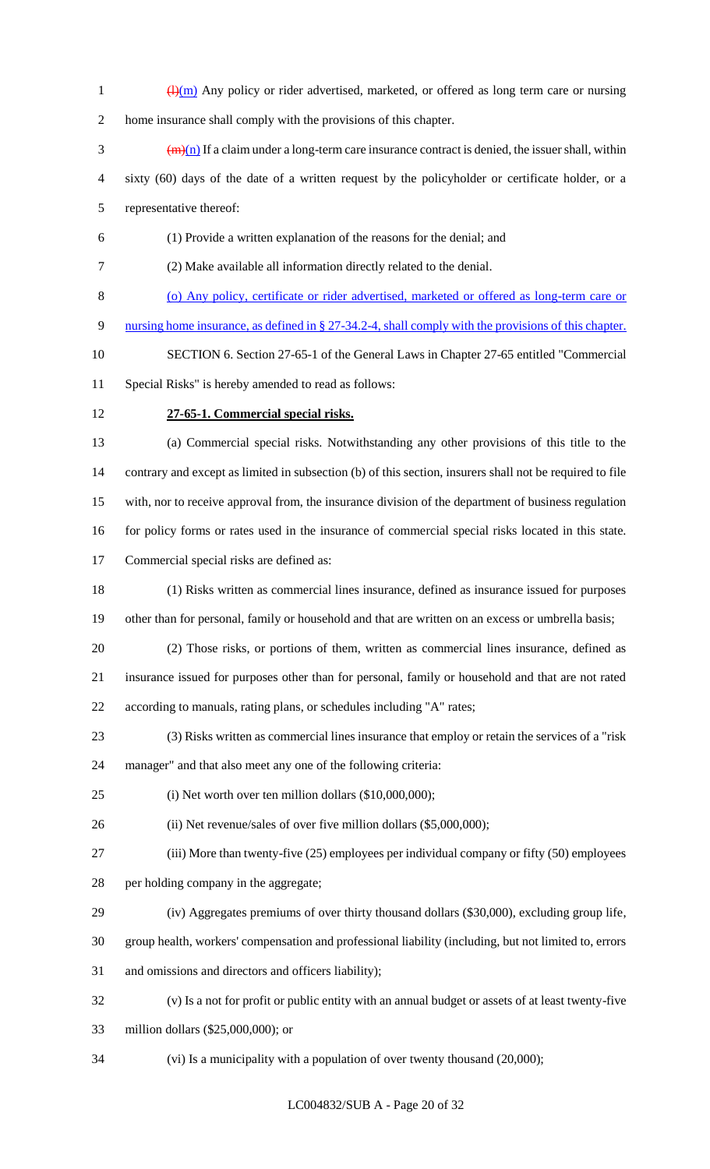- $\frac{d^{(m)}}{dx^{(m)}}$  Any policy or rider advertised, marketed, or offered as long term care or nursing
- home insurance shall comply with the provisions of this chapter.
- $\frac{1}{2}$  (m)(n) If a claim under a long-term care insurance contract is denied, the issuer shall, within sixty (60) days of the date of a written request by the policyholder or certificate holder, or a
- representative thereof:
- (1) Provide a written explanation of the reasons for the denial; and
- (2) Make available all information directly related to the denial.
- (o) Any policy, certificate or rider advertised, marketed or offered as long-term care or
- nursing home insurance, as defined in § 27-34.2-4, shall comply with the provisions of this chapter.
- SECTION 6. Section 27-65-1 of the General Laws in Chapter 27-65 entitled "Commercial
- Special Risks" is hereby amended to read as follows:
- 

## **27-65-1. Commercial special risks.**

 (a) Commercial special risks. Notwithstanding any other provisions of this title to the contrary and except as limited in subsection (b) of this section, insurers shall not be required to file with, nor to receive approval from, the insurance division of the department of business regulation for policy forms or rates used in the insurance of commercial special risks located in this state.

- Commercial special risks are defined as:
- (1) Risks written as commercial lines insurance, defined as insurance issued for purposes other than for personal, family or household and that are written on an excess or umbrella basis;
- (2) Those risks, or portions of them, written as commercial lines insurance, defined as insurance issued for purposes other than for personal, family or household and that are not rated according to manuals, rating plans, or schedules including "A" rates;
- (3) Risks written as commercial lines insurance that employ or retain the services of a "risk
- manager" and that also meet any one of the following criteria:
- (i) Net worth over ten million dollars (\$10,000,000);
- 26 (ii) Net revenue/sales of over five million dollars (\$5,000,000);
- (iii) More than twenty-five (25) employees per individual company or fifty (50) employees
- per holding company in the aggregate;
- (iv) Aggregates premiums of over thirty thousand dollars (\$30,000), excluding group life,
- group health, workers' compensation and professional liability (including, but not limited to, errors
- and omissions and directors and officers liability);
- (v) Is a not for profit or public entity with an annual budget or assets of at least twenty-five
- million dollars (\$25,000,000); or
- (vi) Is a municipality with a population of over twenty thousand (20,000);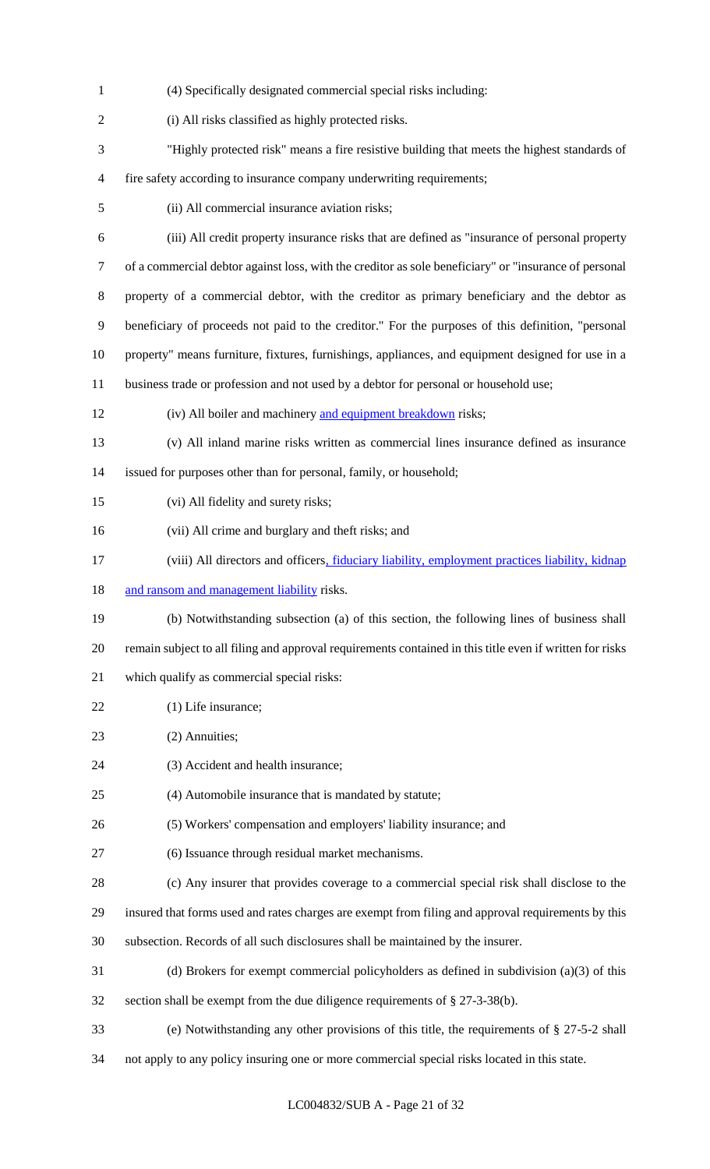(4) Specifically designated commercial special risks including: (i) All risks classified as highly protected risks. "Highly protected risk" means a fire resistive building that meets the highest standards of fire safety according to insurance company underwriting requirements; (ii) All commercial insurance aviation risks; (iii) All credit property insurance risks that are defined as "insurance of personal property of a commercial debtor against loss, with the creditor as sole beneficiary" or "insurance of personal property of a commercial debtor, with the creditor as primary beneficiary and the debtor as beneficiary of proceeds not paid to the creditor." For the purposes of this definition, "personal property" means furniture, fixtures, furnishings, appliances, and equipment designed for use in a business trade or profession and not used by a debtor for personal or household use; (iv) All boiler and machinery and equipment breakdown risks; (v) All inland marine risks written as commercial lines insurance defined as insurance issued for purposes other than for personal, family, or household; (vi) All fidelity and surety risks; (vii) All crime and burglary and theft risks; and 17 (viii) All directors and officers, fiduciary liability, employment practices liability, kidnap 18 and ransom and management liability risks. (b) Notwithstanding subsection (a) of this section, the following lines of business shall remain subject to all filing and approval requirements contained in this title even if written for risks which qualify as commercial special risks: 22 (1) Life insurance; 23 (2) Annuities; 24 (3) Accident and health insurance; (4) Automobile insurance that is mandated by statute; (5) Workers' compensation and employers' liability insurance; and (6) Issuance through residual market mechanisms. (c) Any insurer that provides coverage to a commercial special risk shall disclose to the insured that forms used and rates charges are exempt from filing and approval requirements by this subsection. Records of all such disclosures shall be maintained by the insurer. (d) Brokers for exempt commercial policyholders as defined in subdivision (a)(3) of this section shall be exempt from the due diligence requirements of § 27-3-38(b). (e) Notwithstanding any other provisions of this title, the requirements of § 27-5-2 shall not apply to any policy insuring one or more commercial special risks located in this state.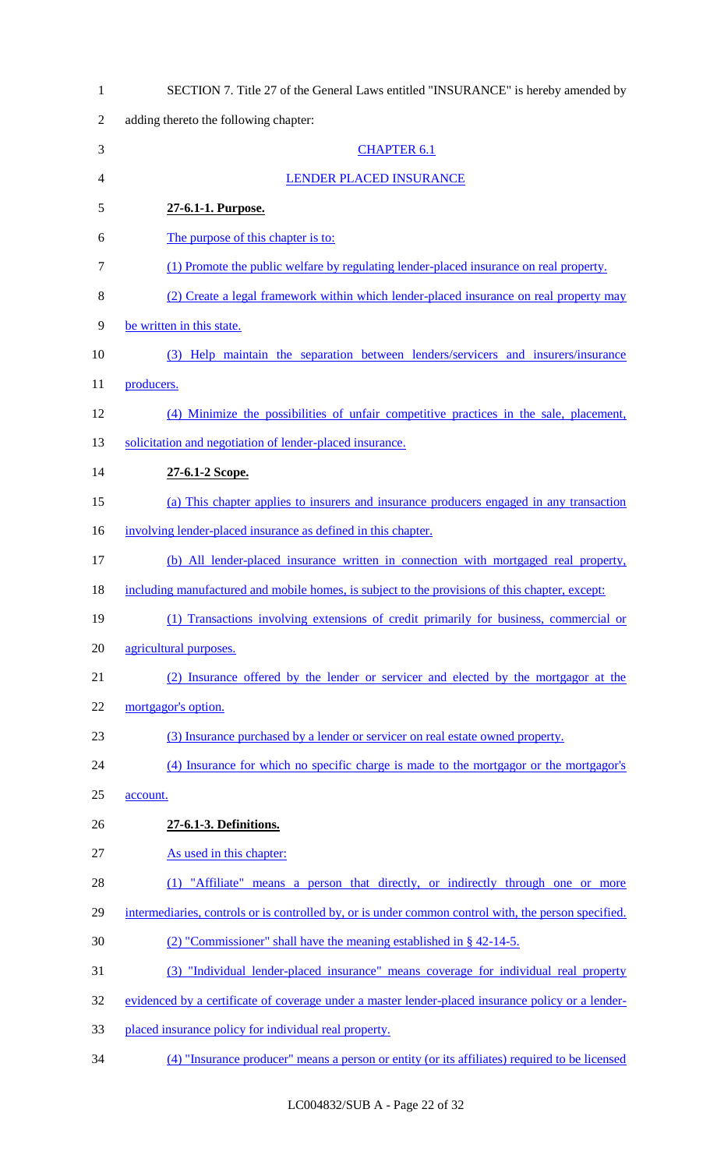| $\mathbf{1}$   | SECTION 7. Title 27 of the General Laws entitled "INSURANCE" is hereby amended by                    |
|----------------|------------------------------------------------------------------------------------------------------|
| $\overline{2}$ | adding thereto the following chapter:                                                                |
| 3              | <b>CHAPTER 6.1</b>                                                                                   |
| $\overline{4}$ | LENDER PLACED INSURANCE                                                                              |
| 5              | 27-6.1-1. Purpose.                                                                                   |
| 6              | The purpose of this chapter is to:                                                                   |
| $\overline{7}$ | (1) Promote the public welfare by regulating lender-placed insurance on real property.               |
| 8              | (2) Create a legal framework within which lender-placed insurance on real property may               |
| 9              | be written in this state.                                                                            |
| 10             | (3) Help maintain the separation between lenders/servicers and insurers/insurance                    |
| 11             | producers.                                                                                           |
| 12             | (4) Minimize the possibilities of unfair competitive practices in the sale, placement,               |
| 13             | solicitation and negotiation of lender-placed insurance.                                             |
| 14             | 27-6.1-2 Scope.                                                                                      |
| 15             | (a) This chapter applies to insurers and insurance producers engaged in any transaction              |
| 16             | involving lender-placed insurance as defined in this chapter.                                        |
| 17             | (b) All lender-placed insurance written in connection with mortgaged real property,                  |
| 18             | including manufactured and mobile homes, is subject to the provisions of this chapter, except:       |
| 19             | (1) Transactions involving extensions of credit primarily for business, commercial or                |
| 20             | agricultural purposes.                                                                               |
| 21             | (2) Insurance offered by the lender or servicer and elected by the mortgagor at the                  |
| 22             | mortgagor's option.                                                                                  |
| 23             | (3) Insurance purchased by a lender or servicer on real estate owned property.                       |
| 24             | (4) Insurance for which no specific charge is made to the mortgagor or the mortgagor's               |
| 25             | account.                                                                                             |
| 26             | 27-6.1-3. Definitions.                                                                               |
| 27             | As used in this chapter:                                                                             |
| 28             | (1) "Affiliate" means a person that directly, or indirectly through one or more                      |
| 29             | intermediaries, controls or is controlled by, or is under common control with, the person specified. |
| 30             | $(2)$ "Commissioner" shall have the meaning established in § 42-14-5.                                |
| 31             | (3) "Individual lender-placed insurance" means coverage for individual real property                 |
| 32             | evidenced by a certificate of coverage under a master lender-placed insurance policy or a lender-    |
| 33             | placed insurance policy for individual real property.                                                |
| 34             | (4) "Insurance producer" means a person or entity (or its affiliates) required to be licensed        |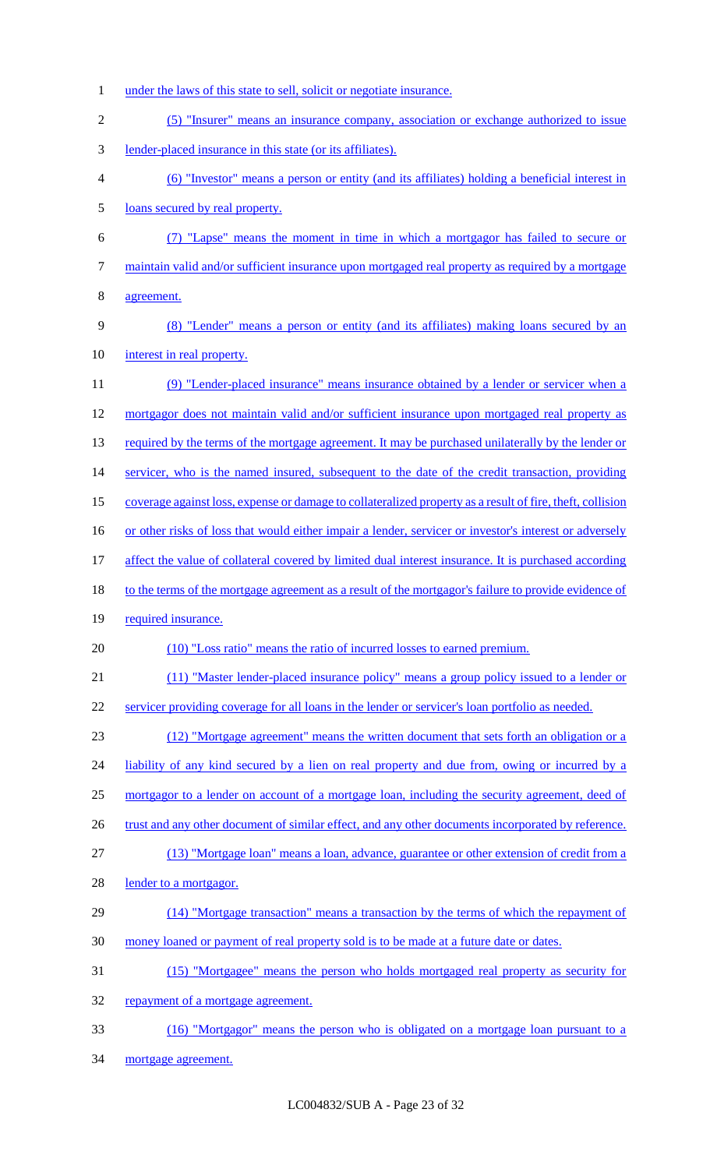under the laws of this state to sell, solicit or negotiate insurance. (5) "Insurer" means an insurance company, association or exchange authorized to issue lender-placed insurance in this state (or its affiliates). (6) "Investor" means a person or entity (and its affiliates) holding a beneficial interest in loans secured by real property. (7) "Lapse" means the moment in time in which a mortgagor has failed to secure or 7 maintain valid and/or sufficient insurance upon mortgaged real property as required by a mortgage agreement. (8) "Lender" means a person or entity (and its affiliates) making loans secured by an 10 interest in real property. (9) "Lender-placed insurance" means insurance obtained by a lender or servicer when a mortgagor does not maintain valid and/or sufficient insurance upon mortgaged real property as 13 required by the terms of the mortgage agreement. It may be purchased unilaterally by the lender or 14 servicer, who is the named insured, subsequent to the date of the credit transaction, providing coverage against loss, expense or damage to collateralized property as a result of fire, theft, collision 16 or other risks of loss that would either impair a lender, servicer or investor's interest or adversely 17 affect the value of collateral covered by limited dual interest insurance. It is purchased according 18 to the terms of the mortgage agreement as a result of the mortgagor's failure to provide evidence of 19 required insurance. (10) "Loss ratio" means the ratio of incurred losses to earned premium. (11) "Master lender-placed insurance policy" means a group policy issued to a lender or servicer providing coverage for all loans in the lender or servicer's loan portfolio as needed. (12) "Mortgage agreement" means the written document that sets forth an obligation or a 24 liability of any kind secured by a lien on real property and due from, owing or incurred by a mortgagor to a lender on account of a mortgage loan, including the security agreement, deed of 26 trust and any other document of similar effect, and any other documents incorporated by reference. (13) "Mortgage loan" means a loan, advance, guarantee or other extension of credit from a 28 lender to a mortgagor. (14) "Mortgage transaction" means a transaction by the terms of which the repayment of money loaned or payment of real property sold is to be made at a future date or dates. (15) "Mortgagee" means the person who holds mortgaged real property as security for 32 repayment of a mortgage agreement. (16) "Mortgagor" means the person who is obligated on a mortgage loan pursuant to a mortgage agreement.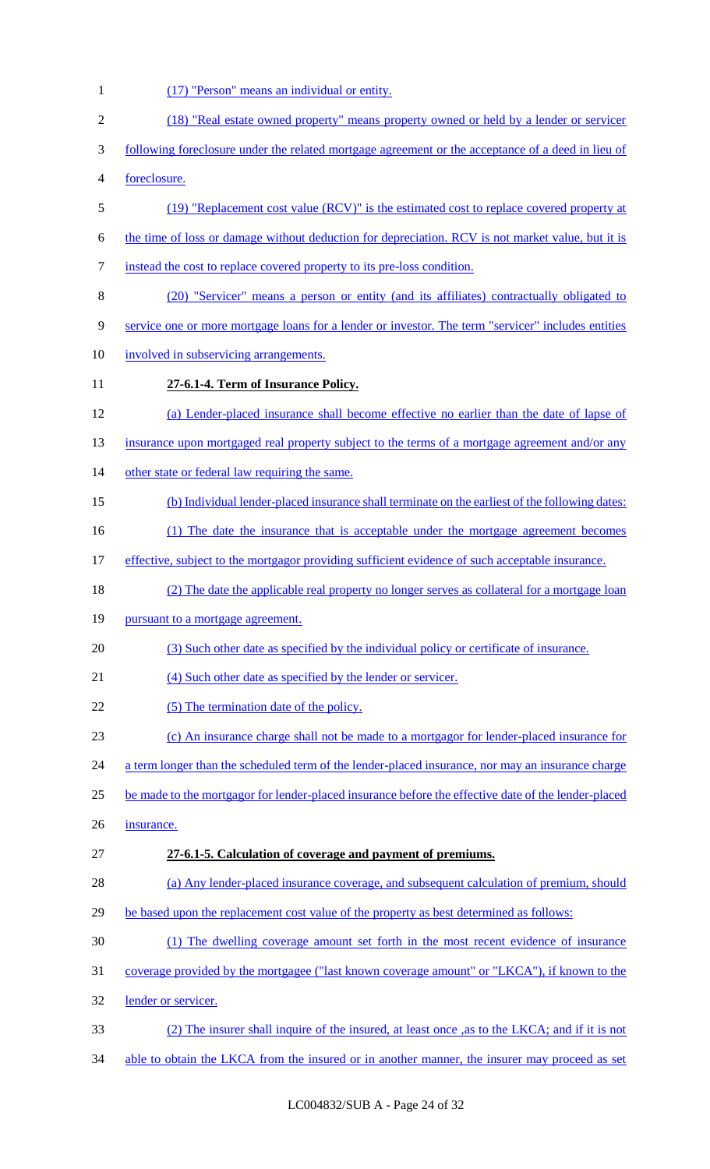(17) "Person" means an individual or entity. (18) "Real estate owned property" means property owned or held by a lender or servicer following foreclosure under the related mortgage agreement or the acceptance of a deed in lieu of foreclosure. (19) "Replacement cost value (RCV)" is the estimated cost to replace covered property at the time of loss or damage without deduction for depreciation. RCV is not market value, but it is instead the cost to replace covered property to its pre-loss condition. (20) "Servicer" means a person or entity (and its affiliates) contractually obligated to service one or more mortgage loans for a lender or investor. The term "servicer" includes entities involved in subservicing arrangements. **27-6.1-4. Term of Insurance Policy.** (a) Lender-placed insurance shall become effective no earlier than the date of lapse of 13 insurance upon mortgaged real property subject to the terms of a mortgage agreement and/or any 14 other state or federal law requiring the same. (b) Individual lender-placed insurance shall terminate on the earliest of the following dates: 16 (1) The date the insurance that is acceptable under the mortgage agreement becomes 17 effective, subject to the mortgagor providing sufficient evidence of such acceptable insurance. (2) The date the applicable real property no longer serves as collateral for a mortgage loan 19 pursuant to a mortgage agreement. (3) Such other date as specified by the individual policy or certificate of insurance. 21 (4) Such other date as specified by the lender or servicer. 22 (5) The termination date of the policy. (c) An insurance charge shall not be made to a mortgagor for lender-placed insurance for 24 a term longer than the scheduled term of the lender-placed insurance, nor may an insurance charge be made to the mortgagor for lender-placed insurance before the effective date of the lender-placed insurance. **27-6.1-5. Calculation of coverage and payment of premiums.** (a) Any lender-placed insurance coverage, and subsequent calculation of premium, should 29 be based upon the replacement cost value of the property as best determined as follows: (1) The dwelling coverage amount set forth in the most recent evidence of insurance coverage provided by the mortgagee ("last known coverage amount" or "LKCA"), if known to the lender or servicer. (2) The insurer shall inquire of the insured, at least once ,as to the LKCA; and if it is not 34 able to obtain the LKCA from the insured or in another manner, the insurer may proceed as set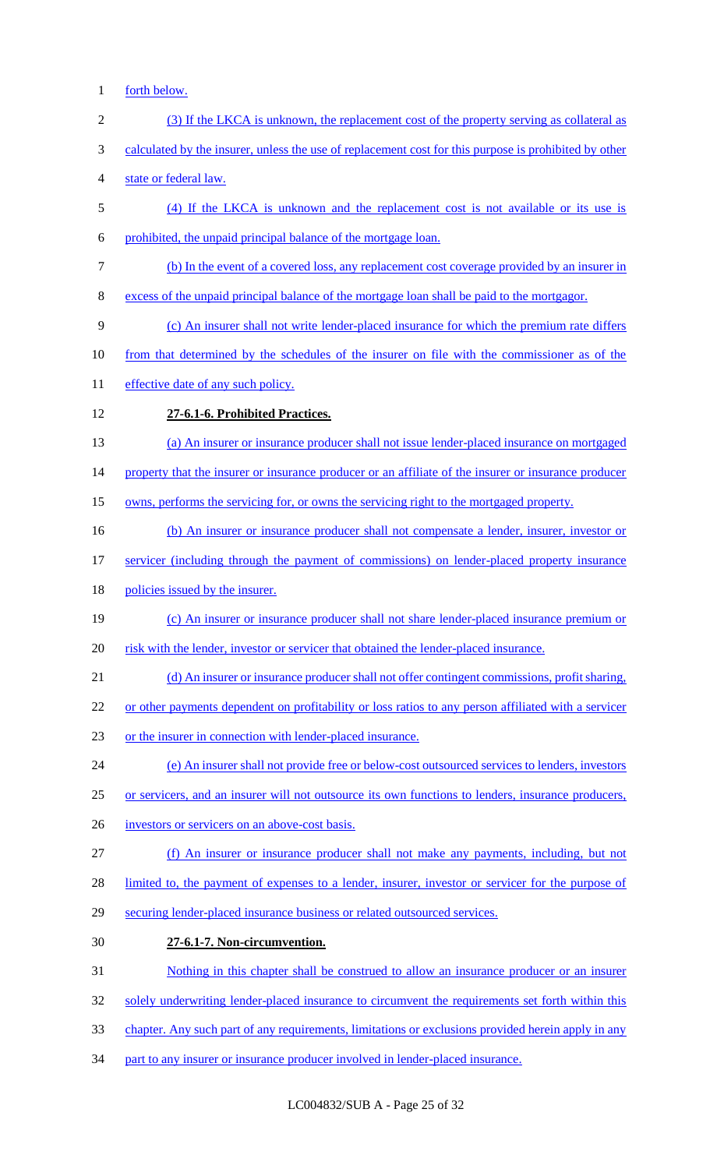- forth below. (3) If the LKCA is unknown, the replacement cost of the property serving as collateral as calculated by the insurer, unless the use of replacement cost for this purpose is prohibited by other state or federal law. (4) If the LKCA is unknown and the replacement cost is not available or its use is prohibited, the unpaid principal balance of the mortgage loan. (b) In the event of a covered loss, any replacement cost coverage provided by an insurer in excess of the unpaid principal balance of the mortgage loan shall be paid to the mortgagor. (c) An insurer shall not write lender-placed insurance for which the premium rate differs from that determined by the schedules of the insurer on file with the commissioner as of the 11 effective date of any such policy. **27-6.1-6. Prohibited Practices.** (a) An insurer or insurance producer shall not issue lender-placed insurance on mortgaged 14 property that the insurer or insurance producer or an affiliate of the insurer or insurance producer owns, performs the servicing for, or owns the servicing right to the mortgaged property. 16 (b) An insurer or insurance producer shall not compensate a lender, insurer, investor or servicer (including through the payment of commissions) on lender-placed property insurance 18 policies issued by the insurer. (c) An insurer or insurance producer shall not share lender-placed insurance premium or 20 risk with the lender, investor or servicer that obtained the lender-placed insurance. (d) An insurer or insurance producer shall not offer contingent commissions, profit sharing, or other payments dependent on profitability or loss ratios to any person affiliated with a servicer or the insurer in connection with lender-placed insurance. (e) An insurer shall not provide free or below-cost outsourced services to lenders, investors or servicers, and an insurer will not outsource its own functions to lenders, insurance producers, investors or servicers on an above-cost basis. (f) An insurer or insurance producer shall not make any payments, including, but not 28 limited to, the payment of expenses to a lender, insurer, investor or servicer for the purpose of securing lender-placed insurance business or related outsourced services. **27-6.1-7. Non-circumvention.** Nothing in this chapter shall be construed to allow an insurance producer or an insurer 32 solely underwriting lender-placed insurance to circumvent the requirements set forth within this
- chapter. Any such part of any requirements, limitations or exclusions provided herein apply in any
- part to any insurer or insurance producer involved in lender-placed insurance.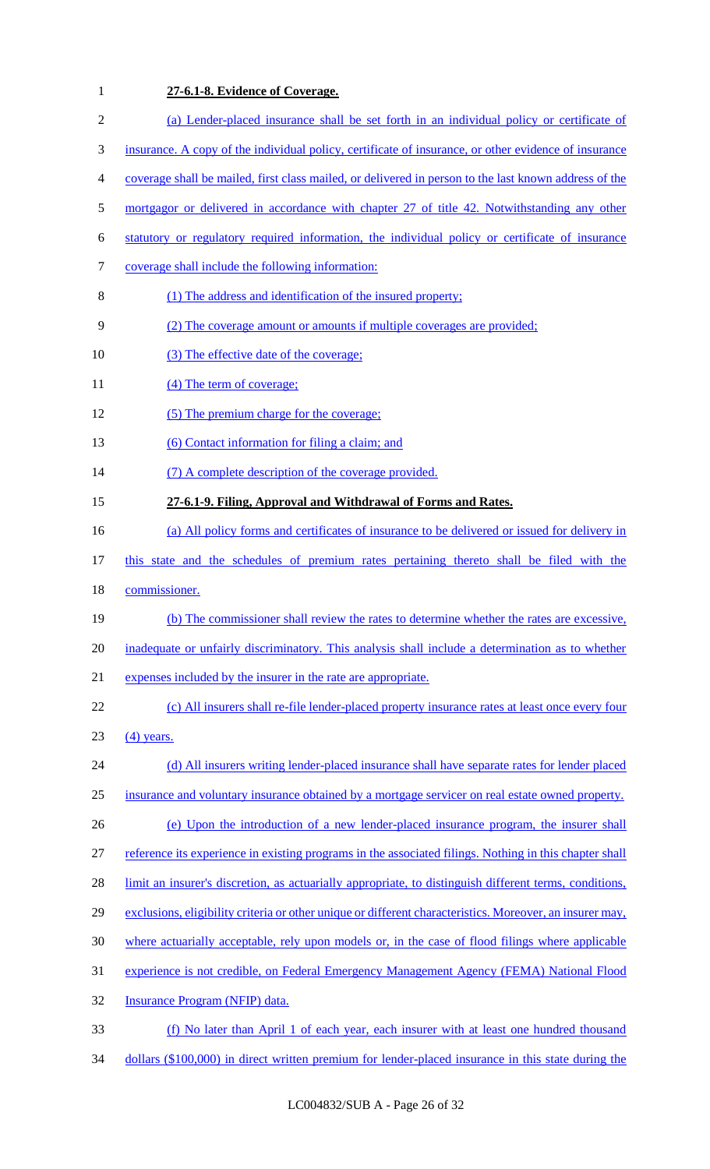| $\mathbf{1}$   | 27-6.1-8. Evidence of Coverage.                                                                          |
|----------------|----------------------------------------------------------------------------------------------------------|
| $\mathfrak{2}$ | (a) Lender-placed insurance shall be set forth in an individual policy or certificate of                 |
| 3              | insurance. A copy of the individual policy, certificate of insurance, or other evidence of insurance     |
| 4              | coverage shall be mailed, first class mailed, or delivered in person to the last known address of the    |
| 5              | mortgagor or delivered in accordance with chapter 27 of title 42. Notwithstanding any other              |
| 6              | statutory or regulatory required information, the individual policy or certificate of insurance          |
| 7              | coverage shall include the following information:                                                        |
| 8              | (1) The address and identification of the insured property;                                              |
| 9              | (2) The coverage amount or amounts if multiple coverages are provided;                                   |
| 10             | (3) The effective date of the coverage;                                                                  |
| 11             | (4) The term of coverage;                                                                                |
| 12             | (5) The premium charge for the coverage;                                                                 |
| 13             | (6) Contact information for filing a claim; and                                                          |
| 14             | (7) A complete description of the coverage provided.                                                     |
| 15             | 27-6.1-9. Filing, Approval and Withdrawal of Forms and Rates.                                            |
| 16             | (a) All policy forms and certificates of insurance to be delivered or issued for delivery in             |
| 17             | this state and the schedules of premium rates pertaining thereto shall be filed with the                 |
| 18             | commissioner.                                                                                            |
| 19             | (b) The commissioner shall review the rates to determine whether the rates are excessive,                |
| 20             | inadequate or unfairly discriminatory. This analysis shall include a determination as to whether         |
| 21             | expenses included by the insurer in the rate are appropriate.                                            |
| 22             | (c) All insurers shall re-file lender-placed property insurance rates at least once every four           |
| 23             | $(4)$ years.                                                                                             |
| 24             | (d) All insurers writing lender-placed insurance shall have separate rates for lender placed             |
| 25             | insurance and voluntary insurance obtained by a mortgage servicer on real estate owned property.         |
| 26             | (e) Upon the introduction of a new lender-placed insurance program, the insurer shall                    |
| 27             | reference its experience in existing programs in the associated filings. Nothing in this chapter shall   |
| 28             | limit an insurer's discretion, as actuarially appropriate, to distinguish different terms, conditions,   |
| 29             | exclusions, eligibility criteria or other unique or different characteristics. Moreover, an insurer may, |
| 30             | where actuarially acceptable, rely upon models or, in the case of flood filings where applicable         |
| 31             | experience is not credible, on Federal Emergency Management Agency (FEMA) National Flood                 |
| 32             | Insurance Program (NFIP) data.                                                                           |
| 33             | (f) No later than April 1 of each year, each insurer with at least one hundred thousand                  |
| 34             | dollars (\$100,000) in direct written premium for lender-placed insurance in this state during the       |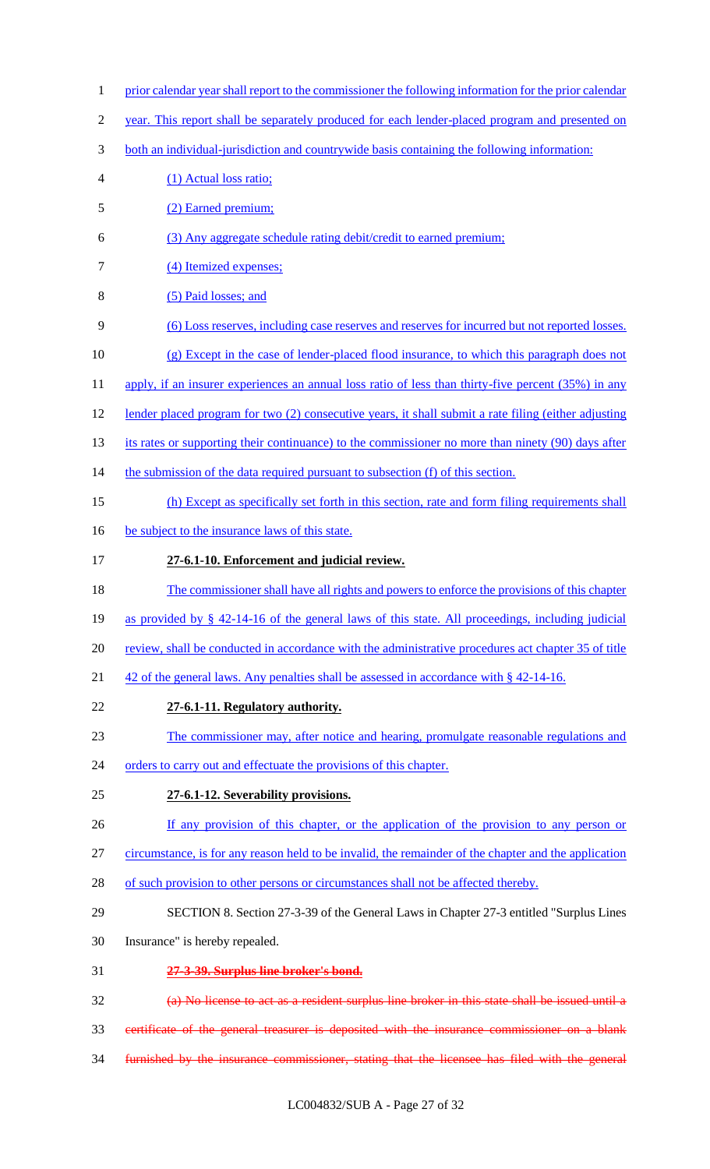- 1 prior calendar year shall report to the commissioner the following information for the prior calendar
- year. This report shall be separately produced for each lender-placed program and presented on
- both an individual-jurisdiction and countrywide basis containing the following information:
- (1) Actual loss ratio;
- (2) Earned premium;
- (3) Any aggregate schedule rating debit/credit to earned premium;
- 7 (4) Itemized expenses;
- (5) Paid losses; and
- (6) Loss reserves, including case reserves and reserves for incurred but not reported losses.
- (g) Except in the case of lender-placed flood insurance, to which this paragraph does not
- 11 apply, if an insurer experiences an annual loss ratio of less than thirty-five percent (35%) in any
- 12 lender placed program for two (2) consecutive years, it shall submit a rate filing (either adjusting
- 13 its rates or supporting their continuance) to the commissioner no more than ninety (90) days after
- 14 the submission of the data required pursuant to subsection (f) of this section.
- (h) Except as specifically set forth in this section, rate and form filing requirements shall
- 16 be subject to the insurance laws of this state.
- **27-6.1-10. Enforcement and judicial review.**
- The commissioner shall have all rights and powers to enforce the provisions of this chapter
- as provided by § 42-14-16 of the general laws of this state. All proceedings, including judicial
- review, shall be conducted in accordance with the administrative procedures act chapter 35 of title
- 21 42 of the general laws. Any penalties shall be assessed in accordance with § 42-14-16.
- **27-6.1-11. Regulatory authority.**
- The commissioner may, after notice and hearing, promulgate reasonable regulations and
- 24 orders to carry out and effectuate the provisions of this chapter.
- **27-6.1-12. Severability provisions.**
- 26 If any provision of this chapter, or the application of the provision to any person or
- circumstance, is for any reason held to be invalid, the remainder of the chapter and the application
- 28 of such provision to other persons or circumstances shall not be affected thereby.
- SECTION 8. Section 27-3-39 of the General Laws in Chapter 27-3 entitled "Surplus Lines
- Insurance" is hereby repealed.
- **27-3-39. Surplus line broker's bond.**
- (a) No license to act as a resident surplus line broker in this state shall be issued until a
- certificate of the general treasurer is deposited with the insurance commissioner on a blank
- furnished by the insurance commissioner, stating that the licensee has filed with the general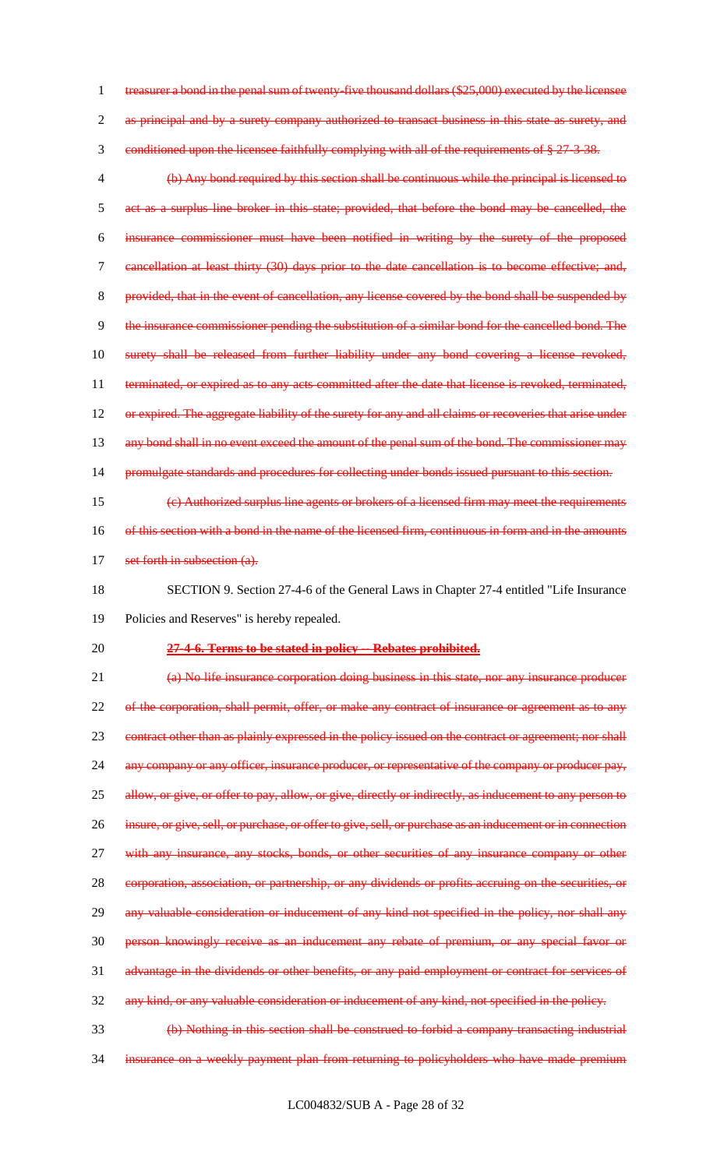treasurer a bond in the penal sum of twenty-five thousand dollars (\$25,000) executed by the licensee 2 as principal and by a surety company authorized to transact business in this state as surety, and conditioned upon the licensee faithfully complying with all of the requirements of § 27-3-38. (b) Any bond required by this section shall be continuous while the principal is licensed to

5 act as a surplus line broker in this state; provided, that before the bond may be cancelled, the 6 insurance commissioner must have been notified in writing by the surety of the proposed 7 cancellation at least thirty (30) days prior to the date cancellation is to become effective; and, 8 provided, that in the event of cancellation, any license covered by the bond shall be suspended by 9 the insurance commissioner pending the substitution of a similar bond for the cancelled bond. The 10 surety shall be released from further liability under any bond covering a license revoked, 11 terminated, or expired as to any acts committed after the date that license is revoked, terminated, 12 or expired. The aggregate liability of the surety for any and all claims or recoveries that arise under 13 any bond shall in no event exceed the amount of the penal sum of the bond. The commissioner may

14 promulgate standards and procedures for collecting under bonds issued pursuant to this section.

15 (c) Authorized surplus line agents or brokers of a licensed firm may meet the requirements 16 of this section with a bond in the name of the licensed firm, continuous in form and in the amounts 17 set forth in subsection (a).

18 SECTION 9. Section 27-4-6 of the General Laws in Chapter 27-4 entitled "Life Insurance 19 Policies and Reserves" is hereby repealed.

## 20 **27-4-6. Terms to be stated in policy -- Rebates prohibited.**

21 (a) No life insurance corporation doing business in this state, nor any insurance producer 22 of the corporation, shall permit, offer, or make any contract of insurance or agreement as to any 23 contract other than as plainly expressed in the policy issued on the contract or agreement; nor shall 24 any company or any officer, insurance producer, or representative of the company or producer pay, 25 allow, or give, or offer to pay, allow, or give, directly or indirectly, as inducement to any person to 26 insure, or give, sell, or purchase, or offer to give, sell, or purchase as an inducement or in connection 27 with any insurance, any stocks, bonds, or other securities of any insurance company or other 28 corporation, association, or partnership, or any dividends or profits accruing on the securities, or 29 any valuable consideration or inducement of any kind not specified in the policy, nor shall any 30 person knowingly receive as an inducement any rebate of premium, or any special favor or 31 advantage in the dividends or other benefits, or any paid employment or contract for services of 32 any kind, or any valuable consideration or inducement of any kind, not specified in the policy.

33 (b) Nothing in this section shall be construed to forbid a company transacting industrial 34 insurance on a weekly payment plan from returning to policyholders who have made premium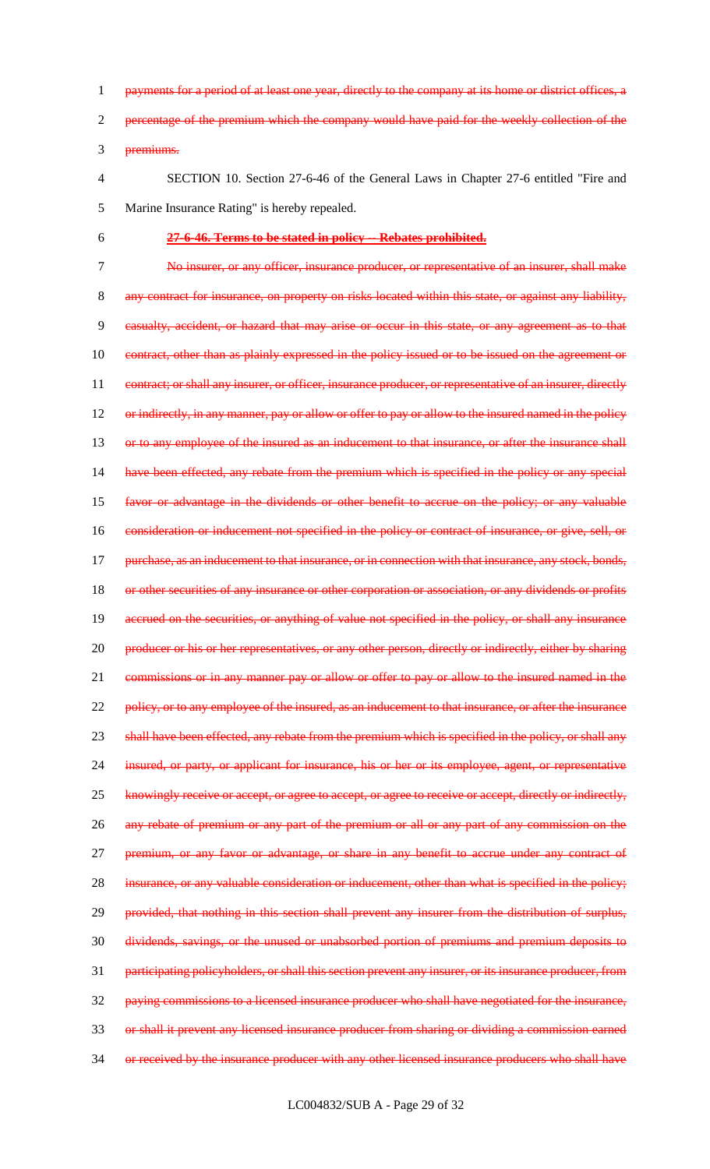1 payments for a period of at least one year, directly to the company at its home or district offices, a 2 percentage of the premium which the company would have paid for the weekly collection of the 3 premiums.

- 4 SECTION 10. Section 27-6-46 of the General Laws in Chapter 27-6 entitled "Fire and 5 Marine Insurance Rating" is hereby repealed.
- 6 **27-6-46. Terms to be stated in policy -- Rebates prohibited.**

7 No insurer, or any officer, insurance producer, or representative of an insurer, shall make 8 any contract for insurance, on property on risks located within this state, or against any liability, 9 casualty, accident, or hazard that may arise or occur in this state, or any agreement as to that 10 contract, other than as plainly expressed in the policy issued or to be issued on the agreement or 11 contract; or shall any insurer, or officer, insurance producer, or representative of an insurer, directly 12 or indirectly, in any manner, pay or allow or offer to pay or allow to the insured named in the policy 13 or to any employee of the insured as an inducement to that insurance, or after the insurance shall 14 have been effected, any rebate from the premium which is specified in the policy or any special 15 favor or advantage in the dividends or other benefit to accrue on the policy; or any valuable 16 consideration or inducement not specified in the policy or contract of insurance, or give, sell, or 17 purchase, as an inducement to that insurance, or in connection with that insurance, any stock, bonds, 18 or other securities of any insurance or other corporation or association, or any dividends or profits 19 accrued on the securities, or anything of value not specified in the policy, or shall any insurance 20 producer or his or her representatives, or any other person, directly or indirectly, either by sharing 21 commissions or in any manner pay or allow or offer to pay or allow to the insured named in the 22 policy, or to any employee of the insured, as an inducement to that insurance, or after the insurance 23 shall have been effected, any rebate from the premium which is specified in the policy, or shall any 24 insured, or party, or applicant for insurance, his or her or its employee, agent, or representative 25 knowingly receive or accept, or agree to accept, or agree to receive or accept, directly or indirectly, 26 any rebate of premium or any part of the premium or all or any part of any commission on the 27 **premium, or any favor or advantage, or share in any benefit to accrue under any contract of** 28 insurance, or any valuable consideration or inducement, other than what is specified in the policy; 29 provided, that nothing in this section shall prevent any insurer from the distribution of surplus, 30 dividends, savings, or the unused or unabsorbed portion of premiums and premium deposits to 31 participating policyholders, or shall this section prevent any insurer, or its insurance producer, from 32 paying commissions to a licensed insurance producer who shall have negotiated for the insurance, 33 or shall it prevent any licensed insurance producer from sharing or dividing a commission earned 34 or received by the insurance producer with any other licensed insurance producers who shall have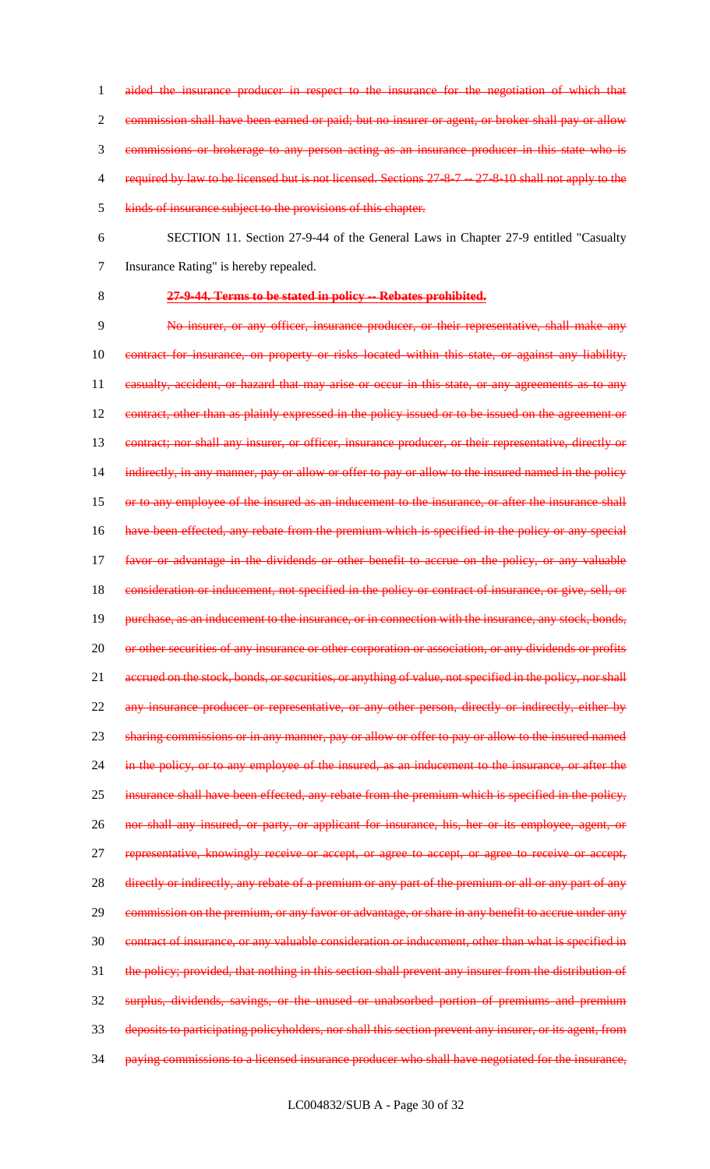commission shall have been earned or paid; but no insurer or agent, or broker shall pay or allow commissions or brokerage to any person acting as an insurance producer in this state who is 4 required by law to be licensed but is not licensed. Sections 27-8-7 -- 27-8-10 shall not apply to the kinds of insurance subject to the provisions of this chapter.

1 aided the insurance producer in respect to the insurance for the negotiation of which that

- 6 SECTION 11. Section 27-9-44 of the General Laws in Chapter 27-9 entitled "Casualty 7 Insurance Rating" is hereby repealed.
- 

## 8 **27-9-44. Terms to be stated in policy -- Rebates prohibited.**

9 No insurer, or any officer, insurance producer, or their representative, shall make any 10 contract for insurance, on property or risks located within this state, or against any liability, 11 casualty, accident, or hazard that may arise or occur in this state, or any agreements as to any 12 contract, other than as plainly expressed in the policy issued or to be issued on the agreement or 13 contract; nor shall any insurer, or officer, insurance producer, or their representative, directly or 14 indirectly, in any manner, pay or allow or offer to pay or allow to the insured named in the policy 15 or to any employee of the insured as an inducement to the insurance, or after the insurance shall 16 have been effected, any rebate from the premium which is specified in the policy or any special 17 favor or advantage in the dividends or other benefit to accrue on the policy, or any valuable 18 consideration or inducement, not specified in the policy or contract of insurance, or give, sell, or 19 purchase, as an inducement to the insurance, or in connection with the insurance, any stock, bonds, 20 or other securities of any insurance or other corporation or association, or any dividends or profits 21 accrued on the stock, bonds, or securities, or anything of value, not specified in the policy, nor shall 22 any insurance producer or representative, or any other person, directly or indirectly, either by 23 sharing commissions or in any manner, pay or allow or offer to pay or allow to the insured named 24 in the policy, or to any employee of the insured, as an inducement to the insurance, or after the 25 insurance shall have been effected, any rebate from the premium which is specified in the policy, 26 nor shall any insured, or party, or applicant for insurance, his, her or its employee, agent, or 27 representative, knowingly receive or accept, or agree to accept, or agree to receive or accept, 28 directly or indirectly, any rebate of a premium or any part of the premium or all or any part of any 29 commission on the premium, or any favor or advantage, or share in any benefit to accrue under any 30 contract of insurance, or any valuable consideration or inducement, other than what is specified in 31 the policy; provided, that nothing in this section shall prevent any insurer from the distribution of 32 surplus, dividends, savings, or the unused or unabsorbed portion of premiums and premium 33 deposits to participating policyholders, nor shall this section prevent any insurer, or its agent, from 34 paying commissions to a licensed insurance producer who shall have negotiated for the insurance,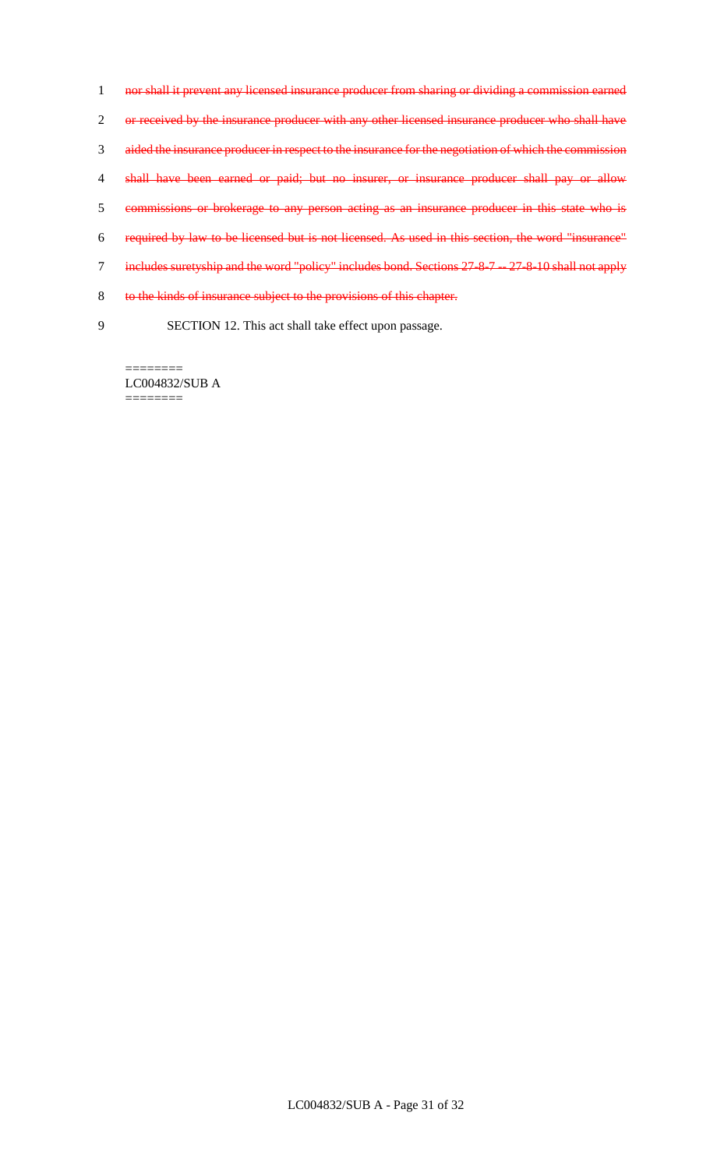nor shall it prevent any licensed insurance producer from sharing or dividing a commission earned 2 or received by the insurance producer with any other licensed insurance producer who shall have aided the insurance producer in respect to the insurance for the negotiation of which the commission 4 shall have been earned or paid; but no insurer, or insurance producer shall pay or allow commissions or brokerage to any person acting as an insurance producer in this state who is required by law to be licensed but is not licensed. As used in this section, the word "insurance" 7 includes suretyship and the word "policy" includes bond. Sections 27-8-7 -- 27-8-10 shall not apply to the kinds of insurance subject to the provisions of this chapter. SECTION 12. This act shall take effect upon passage.

LC004832/SUB A ========

========